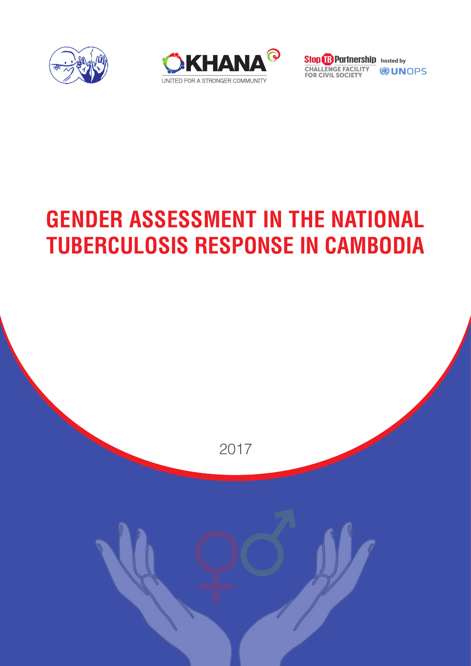



**Stop <b>i**B Partnership hosted by **CHALLENGE FACILITY**<br>FOR CIVIL SOCIETY **WUNOPS** 

# **GENDER ASSESSMENT IN THE NATIONAL TUBERCULOSIS RESPONSE IN CAMBODIA**

2017

Gender Assessment in the National Tuberculosis Response in Cambodia 1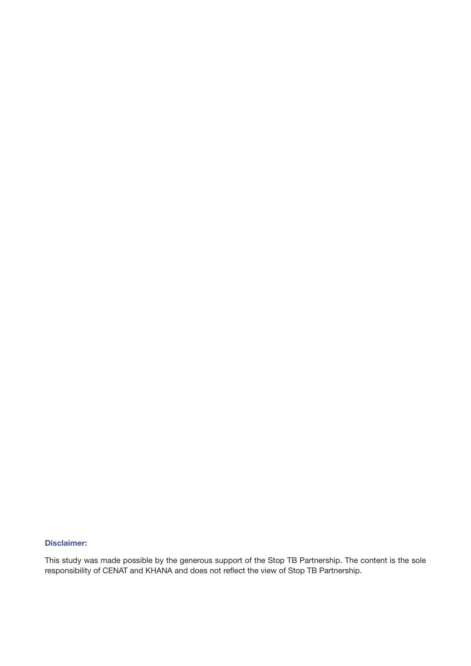### Disclaimer:

This study was made possible by the generous support of the Stop TB Partnership. The content is the sole responsibility of CENAT and KHANA and does not refect the view of Stop TB Partnership.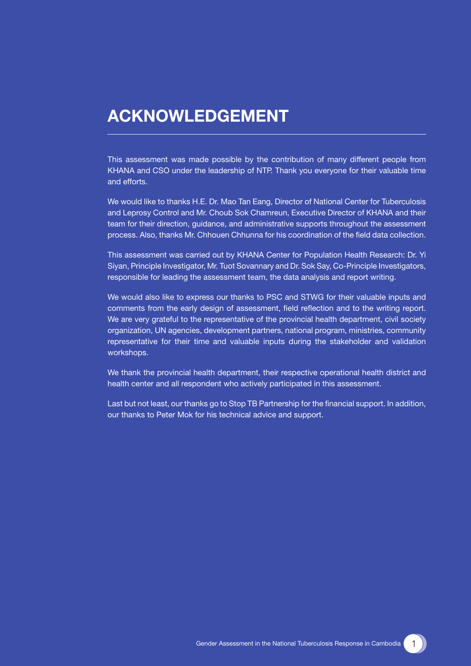## ACKNOWLEDGEMENT

This assessment was made possible by the contribution of many different people from KHANA and CSO under the leadership of NTP. Thank you everyone for their valuable time and efforts.

We would like to thanks H.E. Dr. Mao Tan Eang, Director of National Center for Tuberculosis and Leprosy Control and Mr. Choub Sok Chamreun, Executive Director of KHANA and their team for their direction, guidance, and administrative supports throughout the assessment process. Also, thanks Mr. Chhouen Chhunna for his coordination of the feld data collection.

This assessment was carried out by KHANA Center for Population Health Research: Dr. Yi Siyan, Principle Investigator, Mr. Tuot Sovannary and Dr. Sok Say, Co-Principle Investigators, responsible for leading the assessment team, the data analysis and report writing.

We would also like to express our thanks to PSC and STWG for their valuable inputs and comments from the early design of assessment, feld refection and to the writing report. We are very grateful to the representative of the provincial health department, civil society organization, UN agencies, development partners, national program, ministries, community representative for their time and valuable inputs during the stakeholder and validation workshops.

We thank the provincial health department, their respective operational health district and health center and all respondent who actively participated in this assessment.

Last but not least, our thanks go to Stop TB Partnership for the financial support. In addition, our thanks to Peter Mok for his technical advice and support.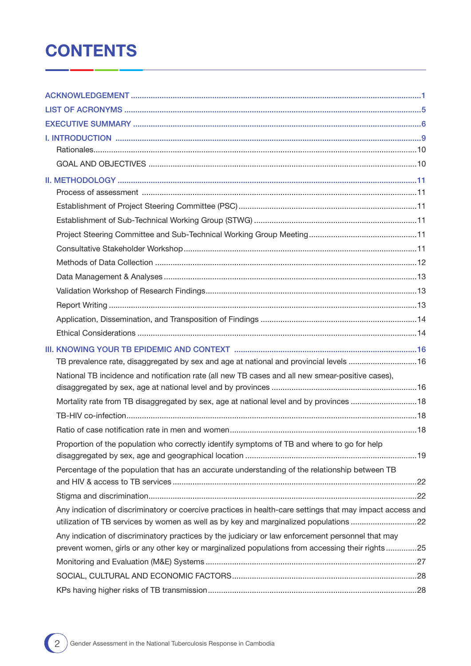## **CONTENTS**

| TB prevalence rate, disaggregated by sex and age at national and provincial levels 16                     |  |
|-----------------------------------------------------------------------------------------------------------|--|
| National TB incidence and notification rate (all new TB cases and all new smear-positive cases),          |  |
|                                                                                                           |  |
| Mortality rate from TB disaggregated by sex, age at national level and by provinces  18                   |  |
|                                                                                                           |  |
|                                                                                                           |  |
| Proportion of the population who correctly identify symptoms of TB and where to go for help               |  |
| Percentage of the population that has an accurate understanding of the relationship between TB            |  |
|                                                                                                           |  |
| Any indication of discriminatory or coercive practices in health-care settings that may impact access and |  |
| utilization of TB services by women as well as by key and marginalized populations 22                     |  |
| Any indication of discriminatory practices by the judiciary or law enforcement personnel that may         |  |
| prevent women, girls or any other key or marginalized populations from accessing their rights25           |  |
|                                                                                                           |  |
|                                                                                                           |  |
|                                                                                                           |  |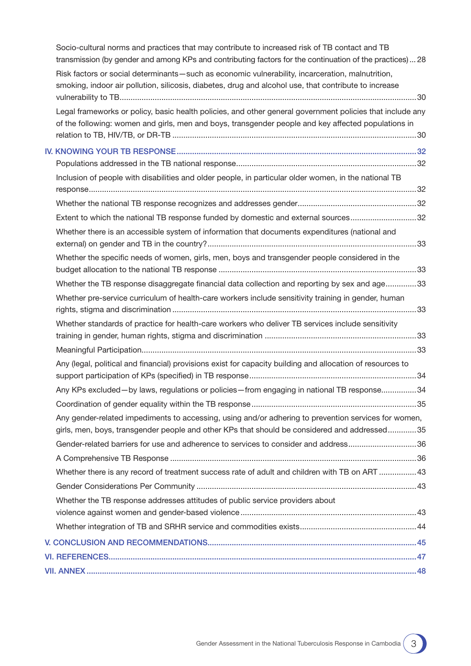| Socio-cultural norms and practices that may contribute to increased risk of TB contact and TB<br>transmission (by gender and among KPs and contributing factors for the continuation of the practices) 28        |
|------------------------------------------------------------------------------------------------------------------------------------------------------------------------------------------------------------------|
| Risk factors or social determinants-such as economic vulnerability, incarceration, malnutrition,                                                                                                                 |
| smoking, indoor air pollution, silicosis, diabetes, drug and alcohol use, that contribute to increase                                                                                                            |
|                                                                                                                                                                                                                  |
| Legal frameworks or policy, basic health policies, and other general government policies that include any<br>of the following: women and girls, men and boys, transgender people and key affected populations in |
|                                                                                                                                                                                                                  |
|                                                                                                                                                                                                                  |
| Inclusion of people with disabilities and older people, in particular older women, in the national TB                                                                                                            |
|                                                                                                                                                                                                                  |
| Extent to which the national TB response funded by domestic and external sources32                                                                                                                               |
| Whether there is an accessible system of information that documents expenditures (national and                                                                                                                   |
| Whether the specific needs of women, girls, men, boys and transgender people considered in the                                                                                                                   |
| Whether the TB response disaggregate financial data collection and reporting by sex and age33                                                                                                                    |
| Whether pre-service curriculum of health-care workers include sensitivity training in gender, human                                                                                                              |
|                                                                                                                                                                                                                  |
| Whether standards of practice for health-care workers who deliver TB services include sensitivity                                                                                                                |
|                                                                                                                                                                                                                  |
| Any (legal, political and financial) provisions exist for capacity building and allocation of resources to                                                                                                       |
| Any KPs excluded-by laws, regulations or policies-from engaging in national TB response34                                                                                                                        |
|                                                                                                                                                                                                                  |
| Any gender-related impediments to accessing, using and/or adhering to prevention services for women,<br>girls, men, boys, transgender people and other KPs that should be considered and addressed35             |
| Gender-related barriers for use and adherence to services to consider and address36                                                                                                                              |
|                                                                                                                                                                                                                  |
| Whether there is any record of treatment success rate of adult and children with TB on ART 43                                                                                                                    |
|                                                                                                                                                                                                                  |
| Whether the TB response addresses attitudes of public service providers about                                                                                                                                    |
|                                                                                                                                                                                                                  |
|                                                                                                                                                                                                                  |
|                                                                                                                                                                                                                  |
|                                                                                                                                                                                                                  |
|                                                                                                                                                                                                                  |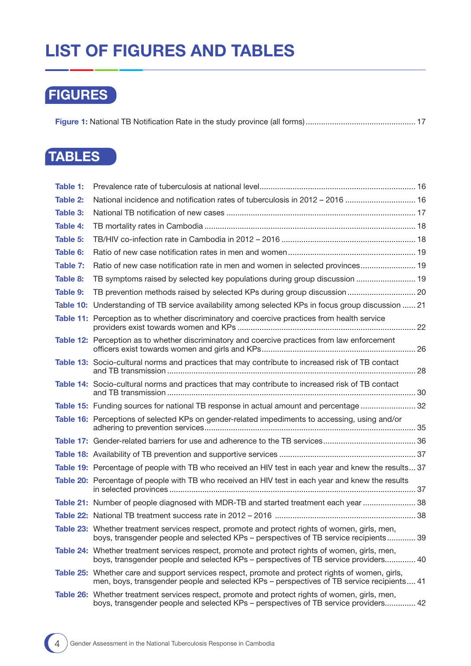## LIST OF FIGURES AND TABLES

## FIGURES

|--|--|--|--|

## **TABLES**

| Table 1:  |                                                                                                                                                                                               |  |
|-----------|-----------------------------------------------------------------------------------------------------------------------------------------------------------------------------------------------|--|
| Table 2:  | National incidence and notification rates of tuberculosis in 2012 - 2016  16                                                                                                                  |  |
| Table 3:  |                                                                                                                                                                                               |  |
| Table 4:  |                                                                                                                                                                                               |  |
| Table 5:  |                                                                                                                                                                                               |  |
| Table 6:  |                                                                                                                                                                                               |  |
| Table 7:  | Ratio of new case notification rate in men and women in selected provinces 19                                                                                                                 |  |
| Table 8:  | TB symptoms raised by selected key populations during group discussion  19                                                                                                                    |  |
| Table 9:  | TB prevention methods raised by selected KPs during group discussion 20                                                                                                                       |  |
| Table 10: | Understanding of TB service availability among selected KPs in focus group discussion  21                                                                                                     |  |
|           | Table 11: Perception as to whether discriminatory and coercive practices from health service                                                                                                  |  |
|           | Table 12: Perception as to whether discriminatory and coercive practices from law enforcement                                                                                                 |  |
|           | Table 13: Socio-cultural norms and practices that may contribute to increased risk of TB contact                                                                                              |  |
|           | Table 14: Socio-cultural norms and practices that may contribute to increased risk of TB contact                                                                                              |  |
|           | Table 15: Funding sources for national TB response in actual amount and percentage  32                                                                                                        |  |
|           | Table 16: Perceptions of selected KPs on gender-related impediments to accessing, using and/or                                                                                                |  |
|           |                                                                                                                                                                                               |  |
|           |                                                                                                                                                                                               |  |
|           | Table 19: Percentage of people with TB who received an HIV test in each year and knew the results 37                                                                                          |  |
|           | Table 20: Percentage of people with TB who received an HIV test in each year and knew the results                                                                                             |  |
|           | Table 21: Number of people diagnosed with MDR-TB and started treatment each year  38                                                                                                          |  |
|           |                                                                                                                                                                                               |  |
|           | Table 23: Whether treatment services respect, promote and protect rights of women, girls, men,<br>boys, transgender people and selected KPs - perspectives of TB service recipients 39        |  |
|           | Table 24: Whether treatment services respect, promote and protect rights of women, girls, men,<br>boys, transgender people and selected KPs – perspectives of TB service providers 40         |  |
|           | Table 25: Whether care and support services respect, promote and protect rights of women, girls,<br>men, boys, transgender people and selected KPs - perspectives of TB service recipients 41 |  |
|           | Table 26: Whether treatment services respect, promote and protect rights of women, girls, men,<br>boys, transgender people and selected KPs - perspectives of TB service providers 42         |  |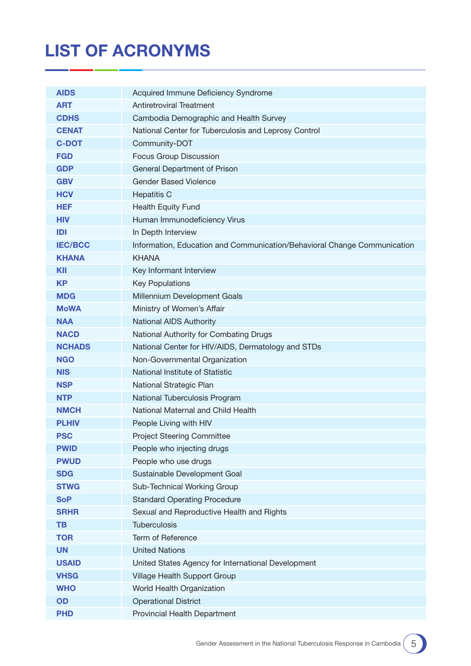## LIST OF ACRONYMS

| <b>AIDS</b>    | Acquired Immune Deficiency Syndrome                                      |
|----------------|--------------------------------------------------------------------------|
| <b>ART</b>     | <b>Antiretroviral Treatment</b>                                          |
| <b>CDHS</b>    | Cambodia Demographic and Health Survey                                   |
| <b>CENAT</b>   | National Center for Tuberculosis and Leprosy Control                     |
| <b>C-DOT</b>   | Community-DOT                                                            |
| <b>FGD</b>     | <b>Focus Group Discussion</b>                                            |
| <b>GDP</b>     | General Department of Prison                                             |
| <b>GBV</b>     | <b>Gender Based Violence</b>                                             |
| <b>HCV</b>     | <b>Hepatitis C</b>                                                       |
| <b>HEF</b>     | <b>Health Equity Fund</b>                                                |
| <b>HIV</b>     | Human Immunodeficiency Virus                                             |
| IDI            | In Depth Interview                                                       |
| <b>IEC/BCC</b> | Information, Education and Communication/Behavioral Change Communication |
| KHANA          | <b>KHANA</b>                                                             |
| <b>KII</b>     | Key Informant Interview                                                  |
| <b>KP</b>      | <b>Key Populations</b>                                                   |
| <b>MDG</b>     | Millennium Development Goals                                             |
| <b>MoWA</b>    | Ministry of Women's Affair                                               |
| <b>NAA</b>     | <b>National AIDS Authority</b>                                           |
| <b>NACD</b>    | National Authority for Combating Drugs                                   |
| <b>NCHADS</b>  | National Center for HIV/AIDS, Dermatology and STDs                       |
| <b>NGO</b>     | Non-Governmental Organization                                            |
| <b>NIS</b>     | National Institute of Statistic                                          |
| <b>NSP</b>     | National Strategic Plan                                                  |
| <b>NTP</b>     | National Tuberculosis Program                                            |
| <b>NMCH</b>    | National Maternal and Child Health                                       |
| <b>PLHIV</b>   | People Living with HIV                                                   |
| <b>PSC</b>     | <b>Project Steering Committee</b>                                        |
| <b>PWID</b>    | People who injecting drugs                                               |
| <b>PWUD</b>    | People who use drugs                                                     |
| <b>SDG</b>     | Sustainable Development Goal                                             |
| <b>STWG</b>    | Sub-Technical Working Group                                              |
| <b>SoP</b>     | <b>Standard Operating Procedure</b>                                      |
| <b>SRHR</b>    | Sexual and Reproductive Health and Rights                                |
| TB             | <b>Tuberculosis</b>                                                      |
| <b>TOR</b>     | <b>Term of Reference</b>                                                 |
| <b>UN</b>      | <b>United Nations</b>                                                    |
| <b>USAID</b>   | United States Agency for International Development                       |
| <b>VHSG</b>    | Village Health Support Group                                             |
| <b>WHO</b>     | World Health Organization                                                |
| OD             | <b>Operational District</b>                                              |
| <b>PHD</b>     | Provincial Health Department                                             |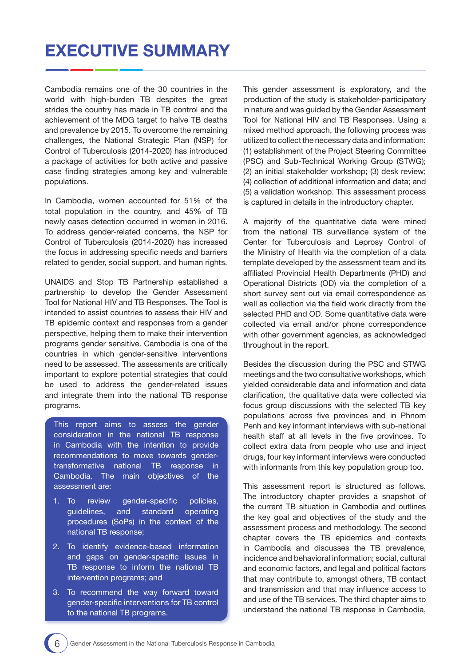## EXECUTIVE SUMMARY

Cambodia remains one of the 30 countries in the world with high-burden TB despites the great strides the country has made in TB control and the achievement of the MDG target to halve TB deaths and prevalence by 2015. To overcome the remaining challenges, the National Strategic Plan (NSP) for Control of Tuberculosis (2014-2020) has introduced a package of activities for both active and passive case fnding strategies among key and vulnerable populations.

In Cambodia, women accounted for 51% of the total population in the country, and 45% of TB newly cases detection occurred in women in 2016. To address gender-related concerns, the NSP for Control of Tuberculosis (2014-2020) has increased the focus in addressing specific needs and barriers related to gender, social support, and human rights.

UNAIDS and Stop TB Partnership established a partnership to develop the Gender Assessment Tool for National HIV and TB Responses. The Tool is intended to assist countries to assess their HIV and TB epidemic context and responses from a gender perspective, helping them to make their intervention programs gender sensitive. Cambodia is one of the countries in which gender-sensitive interventions need to be assessed. The assessments are critically important to explore potential strategies that could be used to address the gender-related issues and integrate them into the national TB response programs.

This report aims to assess the gender consideration in the national TB response in Cambodia with the intention to provide recommendations to move towards gendertransformative national TB response in Cambodia. The main objectives of the assessment are:

- 1. To review gender-specifc policies, guidelines, and standard operating procedures (SoPs) in the context of the national TB response;
- 2. To identify evidence-based information and gaps on gender-specifc issues in TB response to inform the national TB intervention programs; and
- 3. To recommend the way forward toward gender-specific interventions for TB control to the national TB programs.

This gender assessment is exploratory, and the production of the study is stakeholder-participatory in nature and was guided by the Gender Assessment Tool for National HIV and TB Responses. Using a mixed method approach, the following process was utilized to collect the necessary data and information: (1) establishment of the Project Steering Committee (PSC) and Sub-Technical Working Group (STWG); (2) an initial stakeholder workshop; (3) desk review; (4) collection of additional information and data; and (5) a validation workshop. This assessment process is captured in details in the introductory chapter.

A majority of the quantitative data were mined from the national TB surveillance system of the Center for Tuberculosis and Leprosy Control of the Ministry of Health via the completion of a data template developed by the assessment team and its affliated Provincial Health Departments (PHD) and Operational Districts (OD) via the completion of a short survey sent out via email correspondence as well as collection via the field work directly from the selected PHD and OD. Some quantitative data were collected via email and/or phone correspondence with other government agencies, as acknowledged throughout in the report.

Besides the discussion during the PSC and STWG meetings and the two consultative workshops, which yielded considerable data and information and data clarifcation, the qualitative data were collected via focus group discussions with the selected TB key populations across five provinces and in Phnom Penh and key informant interviews with sub-national health staff at all levels in the five provinces. To collect extra data from people who use and inject drugs, four key informant interviews were conducted with informants from this key population group too.

This assessment report is structured as follows. The introductory chapter provides a snapshot of the current TB situation in Cambodia and outlines the key goal and objectives of the study and the assessment process and methodology. The second chapter covers the TB epidemics and contexts in Cambodia and discusses the TB prevalence, incidence and behavioral information; social, cultural and economic factors, and legal and political factors that may contribute to, amongst others, TB contact and transmission and that may infuence access to and use of the TB services. The third chapter aims to understand the national TB response in Cambodia,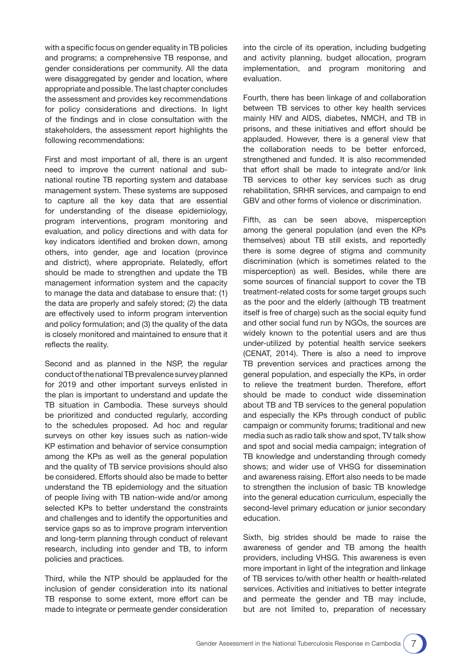with a specific focus on gender equality in TB policies and programs; a comprehensive TB response, and gender considerations per community. All the data were disaggregated by gender and location, where appropriate and possible. The last chapter concludes the assessment and provides key recommendations for policy considerations and directions. In light of the fndings and in close consultation with the stakeholders, the assessment report highlights the following recommendations:

First and most important of all, there is an urgent need to improve the current national and subnational routine TB reporting system and database management system. These systems are supposed to capture all the key data that are essential for understanding of the disease epidemiology, program interventions, program monitoring and evaluation, and policy directions and with data for key indicators identifed and broken down, among others, into gender, age and location (province and district), where appropriate. Relatedly, effort should be made to strengthen and update the TB management information system and the capacity to manage the data and database to ensure that: (1) the data are properly and safely stored; (2) the data are effectively used to inform program intervention and policy formulation; and (3) the quality of the data is closely monitored and maintained to ensure that it reflects the reality.

Second and as planned in the NSP, the regular conduct of the national TB prevalence survey planned for 2019 and other important surveys enlisted in the plan is important to understand and update the TB situation in Cambodia. These surveys should be prioritized and conducted regularly, according to the schedules proposed. Ad hoc and regular surveys on other key issues such as nation-wide KP estimation and behavior of service consumption among the KPs as well as the general population and the quality of TB service provisions should also be considered. Efforts should also be made to better understand the TB epidemiology and the situation of people living with TB nation-wide and/or among selected KPs to better understand the constraints and challenges and to identify the opportunities and service gaps so as to improve program intervention and long-term planning through conduct of relevant research, including into gender and TB, to inform policies and practices.

Third, while the NTP should be applauded for the inclusion of gender consideration into its national TB response to some extent, more effort can be made to integrate or permeate gender consideration

into the circle of its operation, including budgeting and activity planning, budget allocation, program implementation, and program monitoring and evaluation.

Fourth, there has been linkage of and collaboration between TB services to other key health services mainly HIV and AIDS, diabetes, NMCH, and TB in prisons, and these initiatives and effort should be applauded. However, there is a general view that the collaboration needs to be better enforced, strengthened and funded. It is also recommended that effort shall be made to integrate and/or link TB services to other key services such as drug rehabilitation, SRHR services, and campaign to end GBV and other forms of violence or discrimination.

Fifth, as can be seen above, misperception among the general population (and even the KPs themselves) about TB still exists, and reportedly there is some degree of stigma and community discrimination (which is sometimes related to the misperception) as well. Besides, while there are some sources of fnancial support to cover the TB treatment-related costs for some target groups such as the poor and the elderly (although TB treatment itself is free of charge) such as the social equity fund and other social fund run by NGOs, the sources are widely known to the potential users and are thus under-utilized by potential health service seekers (CENAT, 2014). There is also a need to improve TB prevention services and practices among the general population, and especially the KPs, in order to relieve the treatment burden. Therefore, effort should be made to conduct wide dissemination about TB and TB services to the general population and especially the KPs through conduct of public campaign or community forums; traditional and new media such as radio talk show and spot, TV talk show and spot and social media campaign; integration of TB knowledge and understanding through comedy shows; and wider use of VHSG for dissemination and awareness raising. Effort also needs to be made to strengthen the inclusion of basic TB knowledge into the general education curriculum, especially the second-level primary education or junior secondary education.

Sixth, big strides should be made to raise the awareness of gender and TB among the health providers, including VHSG. This awareness is even more important in light of the integration and linkage of TB services to/with other health or health-related services. Activities and initiatives to better integrate and permeate the gender and TB may include, but are not limited to, preparation of necessary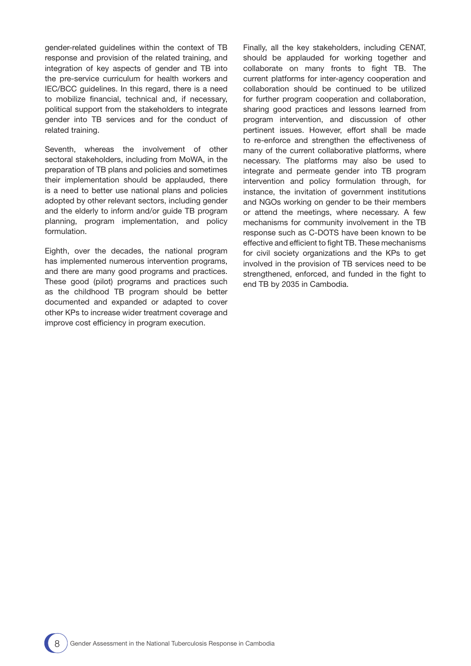gender-related guidelines within the context of TB response and provision of the related training, and integration of key aspects of gender and TB into the pre-service curriculum for health workers and IEC/BCC guidelines. In this regard, there is a need to mobilize financial, technical and, if necessary, political support from the stakeholders to integrate gender into TB services and for the conduct of related training.

Seventh, whereas the involvement of other sectoral stakeholders, including from MoWA, in the preparation of TB plans and policies and sometimes their implementation should be applauded, there is a need to better use national plans and policies adopted by other relevant sectors, including gender and the elderly to inform and/or guide TB program planning, program implementation, and policy formulation.

Eighth, over the decades, the national program has implemented numerous intervention programs, and there are many good programs and practices. These good (pilot) programs and practices such as the childhood TB program should be better documented and expanded or adapted to cover other KPs to increase wider treatment coverage and improve cost efficiency in program execution.

Finally, all the key stakeholders, including CENAT, should be applauded for working together and collaborate on many fronts to fight TB. The current platforms for inter-agency cooperation and collaboration should be continued to be utilized for further program cooperation and collaboration, sharing good practices and lessons learned from program intervention, and discussion of other pertinent issues. However, effort shall be made to re-enforce and strengthen the effectiveness of many of the current collaborative platforms, where necessary. The platforms may also be used to integrate and permeate gender into TB program intervention and policy formulation through, for instance, the invitation of government institutions and NGOs working on gender to be their members or attend the meetings, where necessary. A few mechanisms for community involvement in the TB response such as C-DOTS have been known to be effective and efficient to fight TB. These mechanisms for civil society organizations and the KPs to get involved in the provision of TB services need to be strengthened, enforced, and funded in the fight to end TB by 2035 in Cambodia.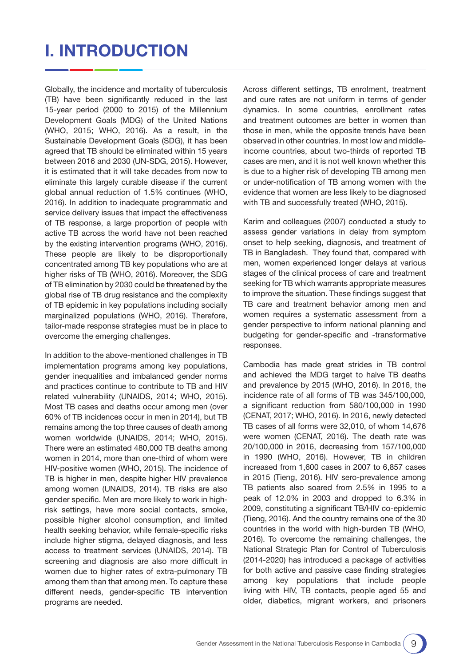## I. INTRODUCTION

Globally, the incidence and mortality of tuberculosis (TB) have been signifcantly reduced in the last 15-year period (2000 to 2015) of the Millennium Development Goals (MDG) of the United Nations (WHO, 2015; WHO, 2016). As a result, in the Sustainable Development Goals (SDG), it has been agreed that TB should be eliminated within 15 years between 2016 and 2030 (UN-SDG, 2015). However, it is estimated that it will take decades from now to eliminate this largely curable disease if the current global annual reduction of 1.5% continues (WHO, 2016). In addition to inadequate programmatic and service delivery issues that impact the effectiveness of TB response, a large proportion of people with active TB across the world have not been reached by the existing intervention programs (WHO, 2016). These people are likely to be disproportionally concentrated among TB key populations who are at higher risks of TB (WHO, 2016). Moreover, the SDG of TB elimination by 2030 could be threatened by the global rise of TB drug resistance and the complexity of TB epidemic in key populations including socially marginalized populations (WHO, 2016). Therefore, tailor-made response strategies must be in place to overcome the emerging challenges.

In addition to the above-mentioned challenges in TB implementation programs among key populations, gender inequalities and imbalanced gender norms and practices continue to contribute to TB and HIV related vulnerability (UNAIDS, 2014; WHO, 2015). Most TB cases and deaths occur among men (over 60% of TB incidences occur in men in 2014), but TB remains among the top three causes of death among women worldwide (UNAIDS, 2014; WHO, 2015). There were an estimated 480,000 TB deaths among women in 2014, more than one-third of whom were HIV-positive women (WHO, 2015). The incidence of TB is higher in men, despite higher HIV prevalence among women (UNAIDS, 2014). TB risks are also gender specifc. Men are more likely to work in highrisk settings, have more social contacts, smoke, possible higher alcohol consumption, and limited health seeking behavior, while female-specific risks include higher stigma, delayed diagnosis, and less access to treatment services (UNAIDS, 2014). TB screening and diagnosis are also more difficult in women due to higher rates of extra-pulmonary TB among them than that among men. To capture these different needs, gender-specifc TB intervention programs are needed.

Across different settings, TB enrolment, treatment and cure rates are not uniform in terms of gender dynamics. In some countries, enrollment rates and treatment outcomes are better in women than those in men, while the opposite trends have been observed in other countries. In most low and middleincome countries, about two-thirds of reported TB cases are men, and it is not well known whether this is due to a higher risk of developing TB among men or under-notification of TB among women with the evidence that women are less likely to be diagnosed with TB and successfully treated (WHO, 2015).

Karim and colleagues (2007) conducted a study to assess gender variations in delay from symptom onset to help seeking, diagnosis, and treatment of TB in Bangladesh. They found that, compared with men, women experienced longer delays at various stages of the clinical process of care and treatment seeking for TB which warrants appropriate measures to improve the situation. These fndings suggest that TB care and treatment behavior among men and women requires a systematic assessment from a gender perspective to inform national planning and budgeting for gender-specific and -transformative responses.

Cambodia has made great strides in TB control and achieved the MDG target to halve TB deaths and prevalence by 2015 (WHO, 2016). In 2016, the incidence rate of all forms of TB was 345/100,000, a signifcant reduction from 580/100,000 in 1990 (CENAT, 2017; WHO, 2016). In 2016, newly detected TB cases of all forms were 32,010, of whom 14,676 were women (CENAT, 2016). The death rate was 20/100,000 in 2016, decreasing from 157/100,000 in 1990 (WHO, 2016). However, TB in children increased from 1,600 cases in 2007 to 6,857 cases in 2015 (Tieng, 2016). HIV sero-prevalence among TB patients also soared from 2.5% in 1995 to a peak of 12.0% in 2003 and dropped to 6.3% in 2009, constituting a signifcant TB/HIV co-epidemic (Tieng, 2016). And the country remains one of the 30 countries in the world with high-burden TB (WHO, 2016). To overcome the remaining challenges, the National Strategic Plan for Control of Tuberculosis (2014-2020) has introduced a package of activities for both active and passive case finding strategies among key populations that include people living with HIV, TB contacts, people aged 55 and older, diabetics, migrant workers, and prisoners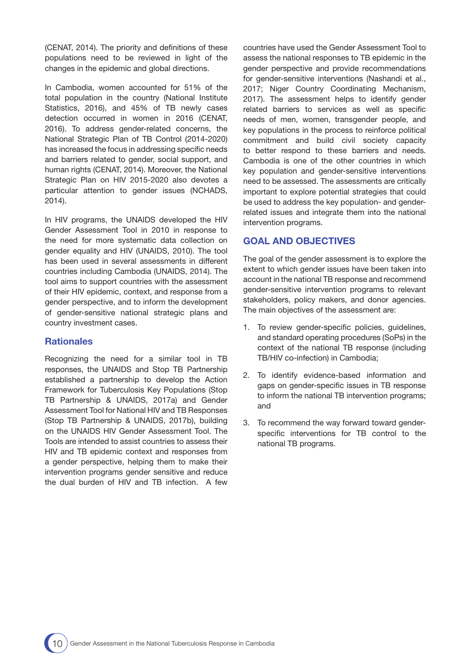(CENAT, 2014). The priority and definitions of these populations need to be reviewed in light of the changes in the epidemic and global directions.

In Cambodia, women accounted for 51% of the total population in the country (National Institute Statistics, 2016), and 45% of TB newly cases detection occurred in women in 2016 (CENAT, 2016). To address gender-related concerns, the National Strategic Plan of TB Control (2014-2020) has increased the focus in addressing specific needs and barriers related to gender, social support, and human rights (CENAT, 2014). Moreover, the National Strategic Plan on HIV 2015-2020 also devotes a particular attention to gender issues (NCHADS, 2014).

In HIV programs, the UNAIDS developed the HIV Gender Assessment Tool in 2010 in response to the need for more systematic data collection on gender equality and HIV (UNAIDS, 2010). The tool has been used in several assessments in different countries including Cambodia (UNAIDS, 2014). The tool aims to support countries with the assessment of their HIV epidemic, context, and response from a gender perspective, and to inform the development of gender-sensitive national strategic plans and country investment cases.

## **Rationales**

Recognizing the need for a similar tool in TB responses, the UNAIDS and Stop TB Partnership established a partnership to develop the Action Framework for Tuberculosis Key Populations (Stop TB Partnership & UNAIDS, 2017a) and Gender Assessment Tool for National HIV and TB Responses (Stop TB Partnership & UNAIDS, 2017b), building on the UNAIDS HIV Gender Assessment Tool. The Tools are intended to assist countries to assess their HIV and TB epidemic context and responses from a gender perspective, helping them to make their intervention programs gender sensitive and reduce the dual burden of HIV and TB infection. A few

countries have used the Gender Assessment Tool to assess the national responses to TB epidemic in the gender perspective and provide recommendations for gender-sensitive interventions (Nashandi et al., 2017; Niger Country Coordinating Mechanism, 2017). The assessment helps to identify gender related barriers to services as well as specific needs of men, women, transgender people, and key populations in the process to reinforce political commitment and build civil society capacity to better respond to these barriers and needs. Cambodia is one of the other countries in which key population and gender-sensitive interventions need to be assessed. The assessments are critically important to explore potential strategies that could be used to address the key population- and genderrelated issues and integrate them into the national intervention programs.

## GOAL AND OBJECTIVES

The goal of the gender assessment is to explore the extent to which gender issues have been taken into account in the national TB response and recommend gender-sensitive intervention programs to relevant stakeholders, policy makers, and donor agencies. The main objectives of the assessment are:

- 1. To review gender-specific policies, guidelines, and standard operating procedures (SoPs) in the context of the national TB response (including TB/HIV co-infection) in Cambodia;
- 2. To identify evidence-based information and gaps on gender-specific issues in TB response to inform the national TB intervention programs; and
- 3. To recommend the way forward toward genderspecifc interventions for TB control to the national TB programs.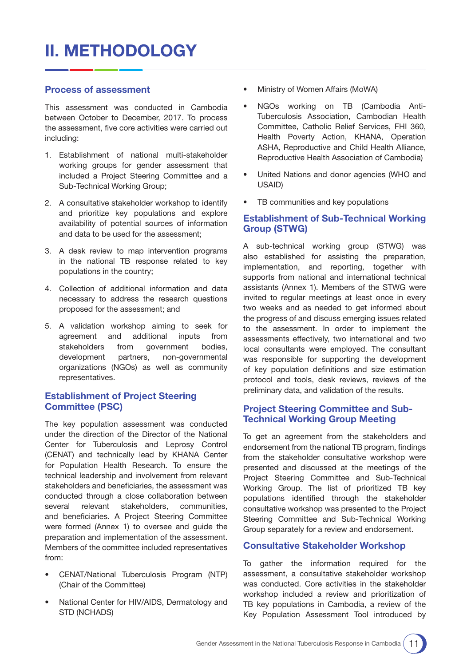### Process of assessment

This assessment was conducted in Cambodia between October to December, 2017. To process the assessment, five core activities were carried out including:

- 1. Establishment of national multi-stakeholder working groups for gender assessment that included a Project Steering Committee and a Sub-Technical Working Group;
- 2. A consultative stakeholder workshop to identify and prioritize key populations and explore availability of potential sources of information and data to be used for the assessment;
- 3. A desk review to map intervention programs in the national TB response related to key populations in the country;
- 4. Collection of additional information and data necessary to address the research questions proposed for the assessment; and
- 5. A validation workshop aiming to seek for agreement and additional inputs from stakeholders from government bodies, development partners, non-governmental organizations (NGOs) as well as community representatives.

## Establishment of Project Steering Committee (PSC)

The key population assessment was conducted under the direction of the Director of the National Center for Tuberculosis and Leprosy Control (CENAT) and technically lead by KHANA Center for Population Health Research. To ensure the technical leadership and involvement from relevant stakeholders and beneficiaries, the assessment was conducted through a close collaboration between several relevant stakeholders, communities, and beneficiaries. A Project Steering Committee were formed (Annex 1) to oversee and guide the preparation and implementation of the assessment. Members of the committee included representatives from:

- CENAT/National Tuberculosis Program (NTP) (Chair of the Committee)
- National Center for HIV/AIDS, Dermatology and STD (NCHADS)
- Ministry of Women Affairs (MoWA)
- NGOs working on TB (Cambodia Anti-Tuberculosis Association, Cambodian Health Committee, Catholic Relief Services, FHI 360, Health Poverty Action, KHANA, Operation ASHA, Reproductive and Child Health Alliance, Reproductive Health Association of Cambodia)
- United Nations and donor agencies (WHO and USAID)
- TB communities and key populations

## Establishment of Sub-Technical Working Group (STWG)

A sub-technical working group (STWG) was also established for assisting the preparation, implementation, and reporting, together with supports from national and international technical assistants (Annex 1). Members of the STWG were invited to regular meetings at least once in every two weeks and as needed to get informed about the progress of and discuss emerging issues related to the assessment. In order to implement the assessments effectively, two international and two local consultants were employed. The consultant was responsible for supporting the development of key population defnitions and size estimation protocol and tools, desk reviews, reviews of the preliminary data, and validation of the results.

## Project Steering Committee and Sub-Technical Working Group Meeting

To get an agreement from the stakeholders and endorsement from the national TB program, findings from the stakeholder consultative workshop were presented and discussed at the meetings of the Project Steering Committee and Sub-Technical Working Group. The list of prioritized TB key populations identifed through the stakeholder consultative workshop was presented to the Project Steering Committee and Sub-Technical Working Group separately for a review and endorsement.

## Consultative Stakeholder Workshop

To gather the information required for the assessment, a consultative stakeholder workshop was conducted. Core activities in the stakeholder workshop included a review and prioritization of TB key populations in Cambodia, a review of the Key Population Assessment Tool introduced by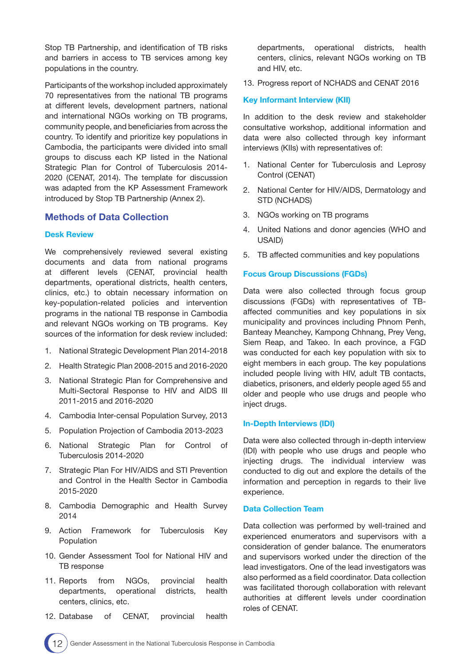Stop TB Partnership, and identification of TB risks and barriers in access to TB services among key populations in the country.

Participants of the workshop included approximately 70 representatives from the national TB programs at different levels, development partners, national and international NGOs working on TB programs, community people, and beneficiaries from across the country. To identify and prioritize key populations in Cambodia, the participants were divided into small groups to discuss each KP listed in the National Strategic Plan for Control of Tuberculosis 2014- 2020 (CENAT, 2014). The template for discussion was adapted from the KP Assessment Framework introduced by Stop TB Partnership (Annex 2).

## Methods of Data Collection

#### Desk Review

We comprehensively reviewed several existing documents and data from national programs at different levels (CENAT, provincial health departments, operational districts, health centers, clinics, etc.) to obtain necessary information on key-population-related policies and intervention programs in the national TB response in Cambodia and relevant NGOs working on TB programs. Key sources of the information for desk review included:

- 1. National Strategic Development Plan 2014-2018
- 2. Health Strategic Plan 2008-2015 and 2016-2020
- 3. National Strategic Plan for Comprehensive and Multi-Sectoral Response to HIV and AIDS III 2011-2015 and 2016-2020
- 4. Cambodia Inter-censal Population Survey, 2013
- 5. Population Projection of Cambodia 2013-2023
- 6. National Strategic Plan for Control of Tuberculosis 2014-2020
- 7. Strategic Plan For HIV/AIDS and STI Prevention and Control in the Health Sector in Cambodia 2015-2020
- 8. Cambodia Demographic and Health Survey 2014
- 9. Action Framework for Tuberculosis Key Population
- 10. Gender Assessment Tool for National HIV and TB response
- 11. Reports from NGOs, provincial health departments, operational districts, health centers, clinics, etc.
- 12. Database of CENAT, provincial health

departments, operational districts, health centers, clinics, relevant NGOs working on TB and HIV, etc.

13. Progress report of NCHADS and CENAT 2016

#### Key Informant Interview (KII)

In addition to the desk review and stakeholder consultative workshop, additional information and data were also collected through key informant interviews (KIIs) with representatives of:

- 1. National Center for Tuberculosis and Leprosy Control (CENAT)
- 2. National Center for HIV/AIDS, Dermatology and STD (NCHADS)
- 3. NGOs working on TB programs
- 4. United Nations and donor agencies (WHO and USAID)
- 5. TB affected communities and key populations

#### Focus Group Discussions (FGDs)

Data were also collected through focus group discussions (FGDs) with representatives of TBaffected communities and key populations in six municipality and provinces including Phnom Penh, Banteay Meanchey, Kampong Chhnang, Prey Veng, Siem Reap, and Takeo. In each province, a FGD was conducted for each key population with six to eight members in each group. The key populations included people living with HIV, adult TB contacts, diabetics, prisoners, and elderly people aged 55 and older and people who use drugs and people who inject drugs.

#### In-Depth Interviews (IDI)

Data were also collected through in-depth interview (IDI) with people who use drugs and people who injecting drugs. The individual interview was conducted to dig out and explore the details of the information and perception in regards to their live experience.

#### Data Collection Team

Data collection was performed by well-trained and experienced enumerators and supervisors with a consideration of gender balance. The enumerators and supervisors worked under the direction of the lead investigators. One of the lead investigators was also performed as a field coordinator. Data collection was facilitated thorough collaboration with relevant authorities at different levels under coordination roles of CENAT.

12 Gender Assessment in the National Tuberculosis Response in Cambodia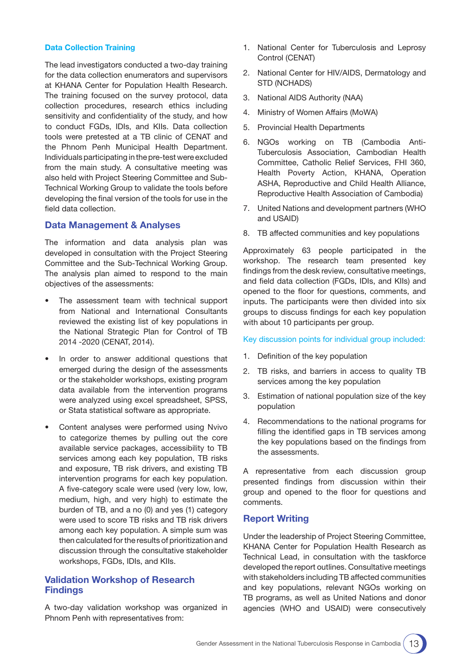#### Data Collection Training

The lead investigators conducted a two-day training for the data collection enumerators and supervisors at KHANA Center for Population Health Research. The training focused on the survey protocol, data collection procedures, research ethics including sensitivity and confidentiality of the study, and how to conduct FGDs, IDIs, and KIIs. Data collection tools were pretested at a TB clinic of CENAT and the Phnom Penh Municipal Health Department. Individuals participating in the pre-test were excluded from the main study. A consultative meeting was also held with Project Steering Committee and Sub-Technical Working Group to validate the tools before developing the final version of the tools for use in the field data collection.

## Data Management & Analyses

The information and data analysis plan was developed in consultation with the Project Steering Committee and the Sub-Technical Working Group. The analysis plan aimed to respond to the main objectives of the assessments:

- The assessment team with technical support from National and International Consultants reviewed the existing list of key populations in the National Strategic Plan for Control of TB 2014 -2020 (CENAT, 2014).
- In order to answer additional questions that emerged during the design of the assessments or the stakeholder workshops, existing program data available from the intervention programs were analyzed using excel spreadsheet, SPSS, or Stata statistical software as appropriate.
- Content analyses were performed using Nvivo to categorize themes by pulling out the core available service packages, accessibility to TB services among each key population, TB risks and exposure, TB risk drivers, and existing TB intervention programs for each key population. A five-category scale were used (very low, low, medium, high, and very high) to estimate the burden of TB, and a no (0) and yes (1) category were used to score TB risks and TB risk drivers among each key population. A simple sum was then calculated for the results of prioritization and discussion through the consultative stakeholder workshops, FGDs, IDIs, and KIIs.

## Validation Workshop of Research Findings

A two-day validation workshop was organized in Phnom Penh with representatives from:

- 1. National Center for Tuberculosis and Leprosy Control (CENAT)
- 2. National Center for HIV/AIDS, Dermatology and STD (NCHADS)
- 3. National AIDS Authority (NAA)
- 4. Ministry of Women Affairs (MoWA)
- 5. Provincial Health Departments
- 6. NGOs working on TB (Cambodia Anti-Tuberculosis Association, Cambodian Health Committee, Catholic Relief Services, FHI 360, Health Poverty Action, KHANA, Operation ASHA, Reproductive and Child Health Alliance, Reproductive Health Association of Cambodia)
- 7. United Nations and development partners (WHO and USAID)
- 8. TB affected communities and key populations

Approximately 63 people participated in the workshop. The research team presented key findings from the desk review, consultative meetings, and feld data collection (FGDs, IDIs, and KIIs) and opened to the floor for questions, comments, and inputs. The participants were then divided into six groups to discuss fndings for each key population with about 10 participants per group.

#### Key discussion points for individual group included:

- 1. Defnition of the key population
- 2. TB risks, and barriers in access to quality TB services among the key population
- 3. Estimation of national population size of the key population
- 4. Recommendations to the national programs for filling the identified gaps in TB services among the key populations based on the findings from the assessments.

A representative from each discussion group presented findings from discussion within their group and opened to the floor for questions and comments.

#### Report Writing

Under the leadership of Project Steering Committee, KHANA Center for Population Health Research as Technical Lead, in consultation with the taskforce developed the report outlines. Consultative meetings with stakeholders including TB affected communities and key populations, relevant NGOs working on TB programs, as well as United Nations and donor agencies (WHO and USAID) were consecutively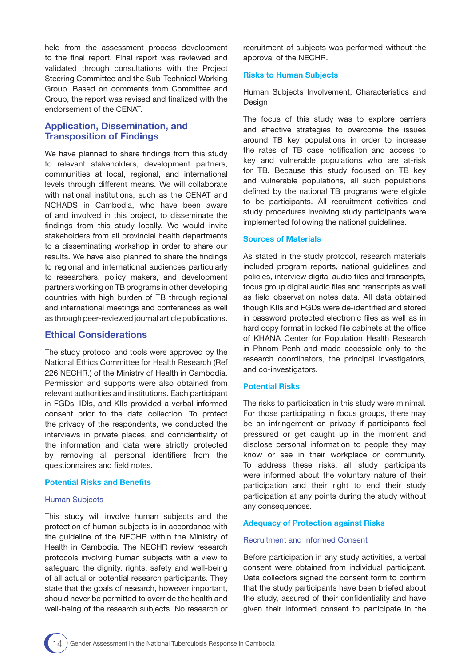held from the assessment process development to the final report. Final report was reviewed and validated through consultations with the Project Steering Committee and the Sub-Technical Working Group. Based on comments from Committee and Group, the report was revised and fnalized with the endorsement of the CENAT.

### Application, Dissemination, and Transposition of Findings

We have planned to share findings from this study to relevant stakeholders, development partners, communities at local, regional, and international levels through different means. We will collaborate with national institutions, such as the CENAT and NCHADS in Cambodia, who have been aware of and involved in this project, to disseminate the findings from this study locally. We would invite stakeholders from all provincial health departments to a disseminating workshop in order to share our results. We have also planned to share the findings to regional and international audiences particularly to researchers, policy makers, and development partners working on TB programs in other developing countries with high burden of TB through regional and international meetings and conferences as well as through peer-reviewed journal article publications.

#### Ethical Considerations

The study protocol and tools were approved by the National Ethics Committee for Health Research (Ref 226 NECHR.) of the Ministry of Health in Cambodia. Permission and supports were also obtained from relevant authorities and institutions. Each participant in FGDs, IDIs, and KIIs provided a verbal informed consent prior to the data collection. To protect the privacy of the respondents, we conducted the interviews in private places, and confidentiality of the information and data were strictly protected by removing all personal identifiers from the questionnaires and field notes.

#### Potential Risks and Benefits

#### Human Subjects

This study will involve human subjects and the protection of human subjects is in accordance with the guideline of the NECHR within the Ministry of Health in Cambodia. The NECHR review research protocols involving human subjects with a view to safeguard the dignity, rights, safety and well-being of all actual or potential research participants. They state that the goals of research, however important, should never be permitted to override the health and well-being of the research subjects. No research or recruitment of subjects was performed without the approval of the NECHR.

#### Risks to Human Subjects

Human Subjects Involvement, Characteristics and Design

The focus of this study was to explore barriers and effective strategies to overcome the issues around TB key populations in order to increase the rates of TB case notification and access to key and vulnerable populations who are at-risk for TB. Because this study focused on TB key and vulnerable populations, all such populations defned by the national TB programs were eligible to be participants. All recruitment activities and study procedures involving study participants were implemented following the national guidelines.

#### Sources of Materials

As stated in the study protocol, research materials included program reports, national guidelines and policies, interview digital audio fles and transcripts, focus group digital audio files and transcripts as well as field observation notes data. All data obtained though KIIs and FGDs were de-identifed and stored in password protected electronic fles as well as in hard copy format in locked file cabinets at the office of KHANA Center for Population Health Research in Phnom Penh and made accessible only to the research coordinators, the principal investigators, and co-investigators.

#### Potential Risks

The risks to participation in this study were minimal. For those participating in focus groups, there may be an infringement on privacy if participants feel pressured or get caught up in the moment and disclose personal information to people they may know or see in their workplace or community. To address these risks, all study participants were informed about the voluntary nature of their participation and their right to end their study participation at any points during the study without any consequences.

#### Adequacy of Protection against Risks

#### Recruitment and Informed Consent

Before participation in any study activities, a verbal consent were obtained from individual participant. Data collectors signed the consent form to confrm that the study participants have been briefed about the study, assured of their confidentiality and have given their informed consent to participate in the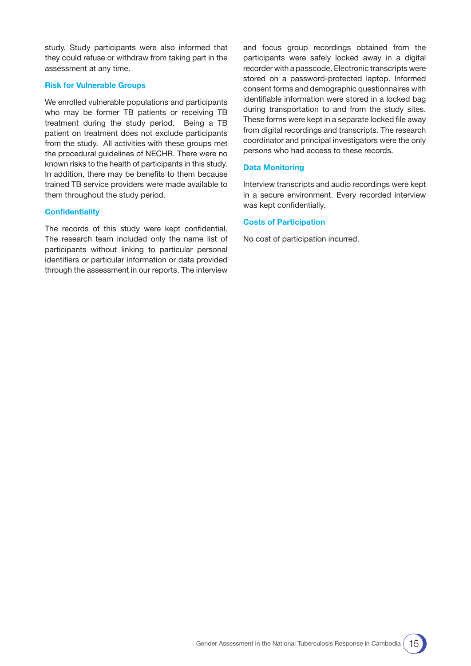study. Study participants were also informed that they could refuse or withdraw from taking part in the assessment at any time.

#### Risk for Vulnerable Groups

We enrolled vulnerable populations and participants who may be former TB patients or receiving TB treatment during the study period. Being a TB patient on treatment does not exclude participants from the study. All activities with these groups met the procedural guidelines of NECHR. There were no known risks to the health of participants in this study. In addition, there may be benefits to them because trained TB service providers were made available to them throughout the study period.

#### **Confidentiality**

The records of this study were kept confidential. The research team included only the name list of participants without linking to particular personal identifers or particular information or data provided through the assessment in our reports. The interview

and focus group recordings obtained from the participants were safely locked away in a digital recorder with a passcode. Electronic transcripts were stored on a password-protected laptop. Informed consent forms and demographic questionnaires with identifable information were stored in a locked bag during transportation to and from the study sites. These forms were kept in a separate locked fle away from digital recordings and transcripts. The research coordinator and principal investigators were the only persons who had access to these records.

#### Data Monitoring

Interview transcripts and audio recordings were kept in a secure environment. Every recorded interview was kept confidentially.

#### Costs of Participation

No cost of participation incurred.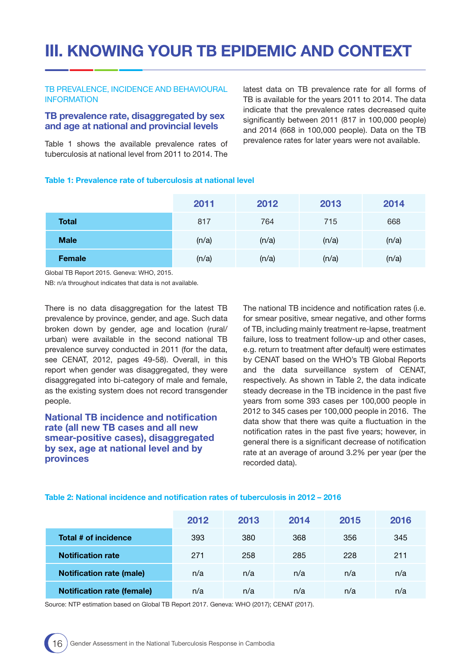## III. KNOWING YOUR TB EPIDEMIC AND CONTEXT

#### TB PREVALENCE, INCIDENCE AND BEHAVIOURAL **INFORMATION**

#### TB prevalence rate, disaggregated by sex and age at national and provincial levels

Table 1 shows the available prevalence rates of tuberculosis at national level from 2011 to 2014. The

latest data on TB prevalence rate for all forms of TB is available for the years 2011 to 2014. The data indicate that the prevalence rates decreased quite significantly between 2011 (817 in 100,000 people) and 2014 (668 in 100,000 people). Data on the TB prevalence rates for later years were not available.

#### Table 1: Prevalence rate of tuberculosis at national level

|              | 2011  | 2012  | 2013  | 2014  |
|--------------|-------|-------|-------|-------|
| <b>Total</b> | 817   | 764   | 715   | 668   |
| <b>Male</b>  | (n/a) | (n/a) | (n/a) | (n/a) |
| Female       | (n/a) | (n/a) | (n/a) | (n/a) |

Global TB Report 2015. Geneva: WHO, 2015.

NB: n/a throughout indicates that data is not available.

There is no data disaggregation for the latest TB prevalence by province, gender, and age. Such data broken down by gender, age and location (rural/ urban) were available in the second national TB prevalence survey conducted in 2011 (for the data, see CENAT, 2012, pages 49-58). Overall, in this report when gender was disaggregated, they were disaggregated into bi-category of male and female, as the existing system does not record transgender people.

## National TB incidence and notification rate (all new TB cases and all new smear-positive cases), disaggregated by sex, age at national level and by provinces

The national TB incidence and notification rates (i.e. for smear positive, smear negative, and other forms of TB, including mainly treatment re-lapse, treatment failure, loss to treatment follow-up and other cases, e.g. return to treatment after default) were estimates by CENAT based on the WHO's TB Global Reports and the data surveillance system of CENAT, respectively. As shown in Table 2, the data indicate steady decrease in the TB incidence in the past five years from some 393 cases per 100,000 people in 2012 to 345 cases per 100,000 people in 2016. The data show that there was quite a fuctuation in the notification rates in the past five years; however, in general there is a significant decrease of notification rate at an average of around 3.2% per year (per the recorded data).

| Table 2: National incidence and notification rates of tuberculosis in 2012 – 2016 |  |  |  |
|-----------------------------------------------------------------------------------|--|--|--|
|-----------------------------------------------------------------------------------|--|--|--|

|                                   | 2012 | 2013 | 2014 | 2015 | 2016 |
|-----------------------------------|------|------|------|------|------|
| Total # of incidence              | 393  | 380  | 368  | 356  | 345  |
| <b>Notification rate</b>          | 271  | 258  | 285  | 228  | 211  |
| <b>Notification rate (male)</b>   | n/a  | n/a  | n/a  | n/a  | n/a  |
| <b>Notification rate (female)</b> | n/a  | n/a  | n/a  | n/a  | n/a  |

Source: NTP estimation based on Global TB Report 2017. Geneva: WHO (2017); CENAT (2017).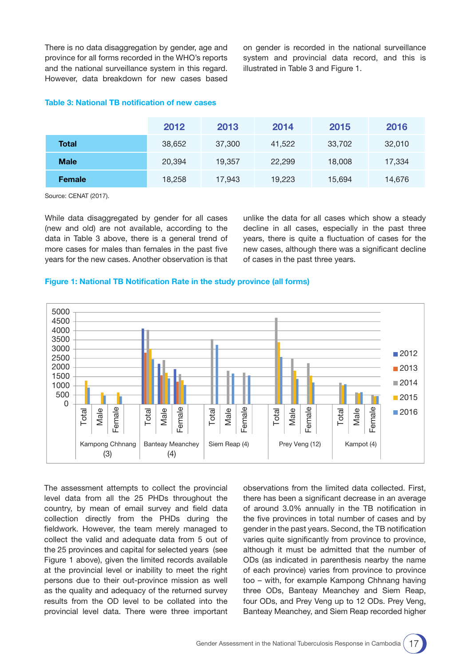There is no data disaggregation by gender, age and province for all forms recorded in the WHO's reports and the national surveillance system in this regard. However, data breakdown for new cases based on gender is recorded in the national surveillance system and provincial data record, and this is illustrated in Table 3 and Figure 1.

#### Table 3: National TB notification of new cases

|               | 2012   | 2013   | 2014   | 2015   | 2016   |
|---------------|--------|--------|--------|--------|--------|
| Total         | 38,652 | 37,300 | 41,522 | 33,702 | 32,010 |
| <b>Male</b>   | 20,394 | 19.357 | 22,299 | 18,008 | 17,334 |
| <b>Female</b> | 18,258 | 17,943 | 19,223 | 15,694 | 14,676 |

Source: CENAT (2017).

While data disaggregated by gender for all cases (new and old) are not available, according to the data in Table 3 above, there is a general trend of more cases for males than females in the past five years for the new cases. Another observation is that unlike the data for all cases which show a steady decline in all cases, especially in the past three years, there is quite a fuctuation of cases for the new cases, although there was a significant decline of cases in the past three years.

#### Figure 1: National TB Notification Rate in the study province (all forms)



The assessment attempts to collect the provincial level data from all the 25 PHDs throughout the country, by mean of email survey and field data collection directly from the PHDs during the feldwork. However, the team merely managed to collect the valid and adequate data from 5 out of the 25 provinces and capital for selected years (see Figure 1 above), given the limited records available at the provincial level or inability to meet the right persons due to their out-province mission as well as the quality and adequacy of the returned survey results from the OD level to be collated into the provincial level data. There were three important

observations from the limited data collected. First, there has been a significant decrease in an average of around 3.0% annually in the TB notifcation in the five provinces in total number of cases and by gender in the past years. Second, the TB notifcation varies quite significantly from province to province, although it must be admitted that the number of ODs (as indicated in parenthesis nearby the name of each province) varies from province to province too – with, for example Kampong Chhnang having three ODs, Banteay Meanchey and Siem Reap, four ODs, and Prey Veng up to 12 ODs. Prey Veng, Banteay Meanchey, and Siem Reap recorded higher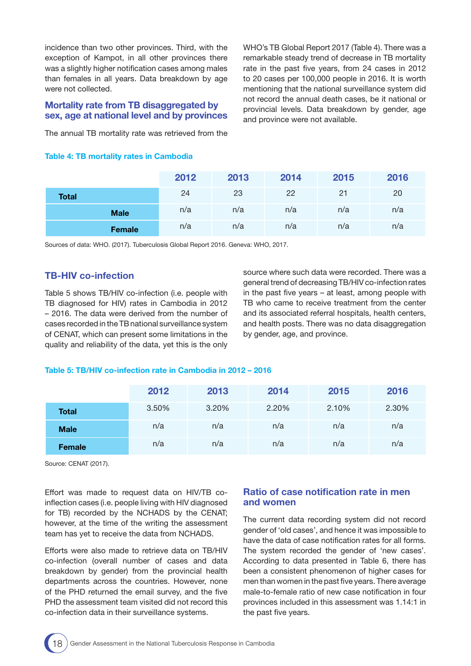incidence than two other provinces. Third, with the exception of Kampot, in all other provinces there was a slightly higher notification cases among males than females in all years. Data breakdown by age were not collected.

## Mortality rate from TB disaggregated by sex, age at national level and by provinces

The annual TB mortality rate was retrieved from the

WHO's TB Global Report 2017 (Table 4). There was a remarkable steady trend of decrease in TB mortality rate in the past five years, from 24 cases in 2012 to 20 cases per 100,000 people in 2016. It is worth mentioning that the national surveillance system did not record the annual death cases, be it national or provincial levels. Data breakdown by gender, age and province were not available.

2012 2013 2014 2015 2016

#### Table 4: TB mortality rates in Cambodia

| Female                                                                            | n/a | n/a | n/a | n/a | n/a |  |
|-----------------------------------------------------------------------------------|-----|-----|-----|-----|-----|--|
| Sources of data: WHO. (2017). Tuberculosis Global Report 2016. Geneva: WHO. 2017. |     |     |     |     |     |  |

TB-HIV co-infection

Table 5 shows TB/HIV co-infection (i.e. people with TB diagnosed for HIV) rates in Cambodia in 2012 – 2016. The data were derived from the number of cases recorded in the TB national surveillance system of CENAT, which can present some limitations in the quality and reliability of the data, yet this is the only source where such data were recorded. There was a general trend of decreasing TB/HIV co-infection rates in the past five years – at least, among people with TB who came to receive treatment from the center and its associated referral hospitals, health centers, and health posts. There was no data disaggregation by gender, age, and province.

#### Table 5: TB/HIV co-infection rate in Cambodia in 2012 – 2016

|              | 2012  | 2013  | 2014  | 2015  | 2016  |
|--------------|-------|-------|-------|-------|-------|
| <b>Total</b> | 3.50% | 3.20% | 2.20% | 2.10% | 2.30% |
| <b>Male</b>  | n/a   | n/a   | n/a   | n/a   | n/a   |
| Female       | n/a   | n/a   | n/a   | n/a   | n/a   |

**Total** 24  $23$  22  $21$  20

Male n/a n/a n/a n/a n/a

Source: CENAT (2017).

Effort was made to request data on HIV/TB coinfection cases (i.e. people living with HIV diagnosed for TB) recorded by the NCHADS by the CENAT; however, at the time of the writing the assessment team has yet to receive the data from NCHADS.

Efforts were also made to retrieve data on TB/HIV co-infection (overall number of cases and data breakdown by gender) from the provincial health departments across the countries. However, none of the PHD returned the email survey, and the five PHD the assessment team visited did not record this co-infection data in their surveillance systems.

## Ratio of case notification rate in men and women

The current data recording system did not record gender of 'old cases', and hence it was impossible to have the data of case notification rates for all forms. The system recorded the gender of 'new cases'. According to data presented in Table 6, there has been a consistent phenomenon of higher cases for men than women in the past five years. There average male-to-female ratio of new case notification in four provinces included in this assessment was 1.14:1 in the past five years.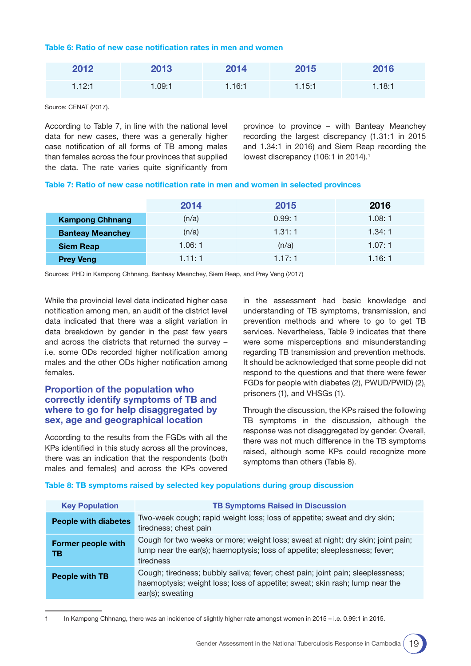#### Table 6: Ratio of new case notification rates in men and women

| 2012   | 2013   | 2014   | 2015   | 2016   |
|--------|--------|--------|--------|--------|
| 1.12:1 | 1.09:1 | 1.16:1 | 1.15:1 | 1.18:1 |

Source: CENAT (2017).

According to Table 7, in line with the national level data for new cases, there was a generally higher case notification of all forms of TB among males than females across the four provinces that supplied the data. The rate varies quite significantly from

province to province – with Banteay Meanchey recording the largest discrepancy (1.31:1 in 2015 and 1.34:1 in 2016) and Siem Reap recording the lowest discrepancy  $(106:1 \text{ in } 2014).$ <sup>1</sup>

#### Table 7: Ratio of new case notification rate in men and women in selected provinces

|                         | 2014   | 2015   | 2016   |
|-------------------------|--------|--------|--------|
| <b>Kampong Chhnang</b>  | (n/a)  | 0.99:1 | 1.08:1 |
| <b>Banteay Meanchey</b> | (n/a)  | 1.31:1 | 1.34:1 |
| <b>Siem Reap</b>        | 1.06:1 | (n/a)  | 1.07:1 |
| <b>Prey Veng</b>        | 1.11:1 | 1.17:1 | 1.16:1 |

Sources: PHD in Kampong Chhnang, Banteay Meanchey, Siem Reap, and Prey Veng (2017)

While the provincial level data indicated higher case notification among men, an audit of the district level data indicated that there was a slight variation in data breakdown by gender in the past few years and across the districts that returned the survey – i.e. some ODs recorded higher notification among males and the other ODs higher notification among females.

## Proportion of the population who correctly identify symptoms of TB and where to go for help disaggregated by sex, age and geographical location

According to the results from the FGDs with all the KPs identifed in this study across all the provinces, there was an indication that the respondents (both males and females) and across the KPs covered

in the assessment had basic knowledge and understanding of TB symptoms, transmission, and prevention methods and where to go to get TB services. Nevertheless, Table 9 indicates that there were some misperceptions and misunderstanding regarding TB transmission and prevention methods. It should be acknowledged that some people did not respond to the questions and that there were fewer FGDs for people with diabetes (2), PWUD/PWID) (2), prisoners (1), and VHSGs (1).

Through the discussion, the KPs raised the following TB symptoms in the discussion, although the response was not disaggregated by gender. Overall, there was not much difference in the TB symptoms raised, although some KPs could recognize more symptoms than others (Table 8).

Table 8: TB symptoms raised by selected key populations during group discussion

| <b>Key Population</b>           | <b>TB Symptoms Raised in Discussion</b>                                                                                                                                           |
|---------------------------------|-----------------------------------------------------------------------------------------------------------------------------------------------------------------------------------|
| <b>People with diabetes</b>     | Two-week cough; rapid weight loss; loss of appetite; sweat and dry skin;<br>tiredness; chest pain                                                                                 |
| <b>Former people with</b><br>ΤВ | Cough for two weeks or more; weight loss; sweat at night; dry skin; joint pain;<br>lump near the ear(s); haemoptysis; loss of appetite; sleeplessness; fever;<br>tiredness        |
| <b>People with TB</b>           | Cough; tiredness; bubbly saliva; fever; chest pain; joint pain; sleeplessness;<br>haemoptysis; weight loss; loss of appetite; sweat; skin rash; lump near the<br>ear(s); sweating |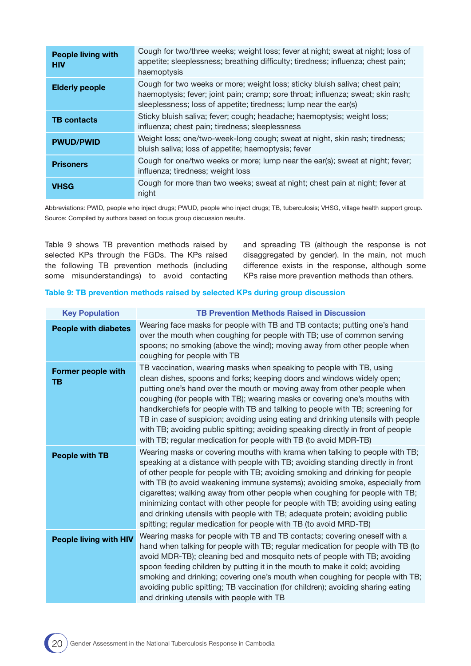| <b>People living with</b><br><b>HIV</b> | Cough for two/three weeks; weight loss; fever at night; sweat at night; loss of<br>appetite; sleeplessness; breathing difficulty; tiredness; influenza; chest pain;<br>haemoptysis                                                  |
|-----------------------------------------|-------------------------------------------------------------------------------------------------------------------------------------------------------------------------------------------------------------------------------------|
| <b>Elderly people</b>                   | Cough for two weeks or more; weight loss; sticky bluish saliva; chest pain;<br>haemoptysis; fever; joint pain; cramp; sore throat; influenza; sweat; skin rash;<br>sleeplessness; loss of appetite; tiredness; lump near the ear(s) |
| <b>TB</b> contacts                      | Sticky bluish saliva; fever; cough; headache; haemoptysis; weight loss;<br>influenza; chest pain; tiredness; sleeplessness                                                                                                          |
| <b>PWUD/PWID</b>                        | Weight loss; one/two-week-long cough; sweat at night, skin rash; tiredness;<br>bluish saliva; loss of appetite; haemoptysis; fever                                                                                                  |
| <b>Prisoners</b>                        | Cough for one/two weeks or more; lump near the ear(s); sweat at night; fever;<br>influenza; tiredness; weight loss                                                                                                                  |
| <b>VHSG</b>                             | Cough for more than two weeks; sweat at night; chest pain at night; fever at<br>night                                                                                                                                               |

Abbreviations: PWID, people who inject drugs; PWUD, people who inject drugs; TB, tuberculosis; VHSG, village health support group. Source: Compiled by authors based on focus group discussion results.

Table 9 shows TB prevention methods raised by selected KPs through the FGDs. The KPs raised the following TB prevention methods (including some misunderstandings) to avoid contacting

and spreading TB (although the response is not disaggregated by gender). In the main, not much difference exists in the response, although some KPs raise more prevention methods than others.

#### Table 9: TB prevention methods raised by selected KPs during group discussion

| <b>Key Population</b>           | <b>TB Prevention Methods Raised in Discussion</b>                                                                                                                                                                                                                                                                                                                                                                                                                                                                                                                                                                                                     |
|---------------------------------|-------------------------------------------------------------------------------------------------------------------------------------------------------------------------------------------------------------------------------------------------------------------------------------------------------------------------------------------------------------------------------------------------------------------------------------------------------------------------------------------------------------------------------------------------------------------------------------------------------------------------------------------------------|
| <b>People with diabetes</b>     | Wearing face masks for people with TB and TB contacts; putting one's hand<br>over the mouth when coughing for people with TB; use of common serving<br>spoons; no smoking (above the wind); moving away from other people when<br>coughing for people with TB                                                                                                                                                                                                                                                                                                                                                                                         |
| <b>Former people with</b><br>ΤВ | TB vaccination, wearing masks when speaking to people with TB, using<br>clean dishes, spoons and forks; keeping doors and windows widely open;<br>putting one's hand over the mouth or moving away from other people when<br>coughing (for people with TB); wearing masks or covering one's mouths with<br>handkerchiefs for people with TB and talking to people with TB; screening for<br>TB in case of suspicion; avoiding using eating and drinking utensils with people<br>with TB; avoiding public spitting; avoiding speaking directly in front of people<br>with TB; regular medication for people with TB (to avoid MDR-TB)                  |
| <b>People with TB</b>           | Wearing masks or covering mouths with krama when talking to people with TB;<br>speaking at a distance with people with TB; avoiding standing directly in front<br>of other people for people with TB; avoiding smoking and drinking for people<br>with TB (to avoid weakening immune systems); avoiding smoke, especially from<br>cigarettes; walking away from other people when coughing for people with TB;<br>minimizing contact with other people for people with TB; avoiding using eating<br>and drinking utensils with people with TB; adequate protein; avoiding public<br>spitting; regular medication for people with TB (to avoid MRD-TB) |
| <b>People living with HIV</b>   | Wearing masks for people with TB and TB contacts; covering oneself with a<br>hand when talking for people with TB; regular medication for people with TB (to<br>avoid MDR-TB); cleaning bed and mosquito nets of people with TB; avoiding<br>spoon feeding children by putting it in the mouth to make it cold; avoiding<br>smoking and drinking; covering one's mouth when coughing for people with TB;<br>avoiding public spitting; TB vaccination (for children); avoiding sharing eating<br>and drinking utensils with people with TB                                                                                                             |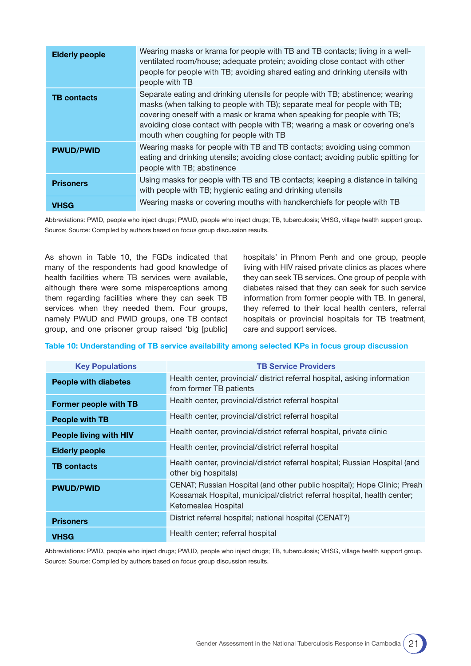| <b>Elderly people</b> | Wearing masks or krama for people with TB and TB contacts; living in a well-<br>ventilated room/house; adequate protein; avoiding close contact with other<br>people for people with TB; avoiding shared eating and drinking utensils with<br>people with TB                                                                                                    |
|-----------------------|-----------------------------------------------------------------------------------------------------------------------------------------------------------------------------------------------------------------------------------------------------------------------------------------------------------------------------------------------------------------|
| <b>TB contacts</b>    | Separate eating and drinking utensils for people with TB; abstinence; wearing<br>masks (when talking to people with TB); separate meal for people with TB;<br>covering oneself with a mask or krama when speaking for people with TB;<br>avoiding close contact with people with TB; wearing a mask or covering one's<br>mouth when coughing for people with TB |
| <b>PWUD/PWID</b>      | Wearing masks for people with TB and TB contacts; avoiding using common<br>eating and drinking utensils; avoiding close contact; avoiding public spitting for<br>people with TB; abstinence                                                                                                                                                                     |
| <b>Prisoners</b>      | Using masks for people with TB and TB contacts; keeping a distance in talking<br>with people with TB; hygienic eating and drinking utensils                                                                                                                                                                                                                     |
| <b>VHSG</b>           | Wearing masks or covering mouths with handkerchiefs for people with TB                                                                                                                                                                                                                                                                                          |

Abbreviations: PWID, people who inject drugs; PWUD, people who inject drugs; TB, tuberculosis; VHSG, village health support group. Source: Source: Compiled by authors based on focus group discussion results.

As shown in Table 10, the FGDs indicated that many of the respondents had good knowledge of health facilities where TB services were available, although there were some misperceptions among them regarding facilities where they can seek TB services when they needed them. Four groups, namely PWUD and PWID groups, one TB contact group, and one prisoner group raised 'big [public] hospitals' in Phnom Penh and one group, people living with HIV raised private clinics as places where they can seek TB services. One group of people with diabetes raised that they can seek for such service information from former people with TB. In general, they referred to their local health centers, referral hospitals or provincial hospitals for TB treatment, care and support services.

#### Table 10: Understanding of TB service availability among selected KPs in focus group discussion

| <b>Key Populations</b>        | <b>TB Service Providers</b>                                                                                                                                               |
|-------------------------------|---------------------------------------------------------------------------------------------------------------------------------------------------------------------------|
| <b>People with diabetes</b>   | Health center, provincial/ district referral hospital, asking information<br>from former TB patients                                                                      |
| <b>Former people with TB</b>  | Health center, provincial/district referral hospital                                                                                                                      |
| <b>People with TB</b>         | Health center, provincial/district referral hospital                                                                                                                      |
| <b>People living with HIV</b> | Health center, provincial/district referral hospital, private clinic                                                                                                      |
| <b>Elderly people</b>         | Health center, provincial/district referral hospital                                                                                                                      |
| <b>TB contacts</b>            | Health center, provincial/district referral hospital; Russian Hospital (and<br>other big hospitals)                                                                       |
| <b>PWUD/PWID</b>              | CENAT; Russian Hospital (and other public hospital); Hope Clinic; Preah<br>Kossamak Hospital, municipal/district referral hospital, health center;<br>Ketomealea Hospital |
| <b>Prisoners</b>              | District referral hospital; national hospital (CENAT?)                                                                                                                    |
| <b>VHSG</b>                   | Health center; referral hospital                                                                                                                                          |

Abbreviations: PWID, people who inject drugs; PWUD, people who inject drugs; TB, tuberculosis; VHSG, village health support group. Source: Source: Compiled by authors based on focus group discussion results.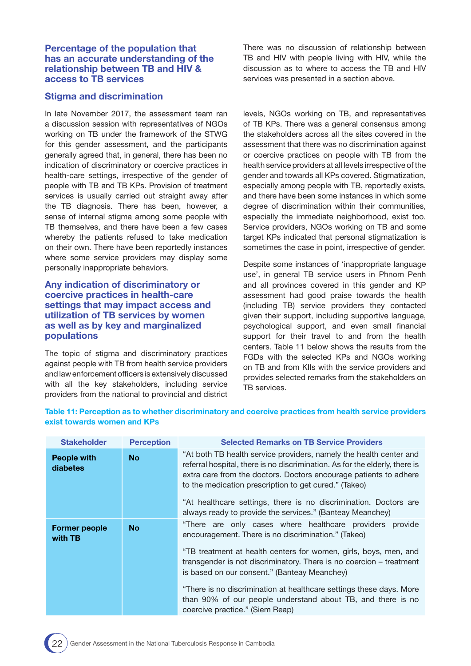## Percentage of the population that has an accurate understanding of the relationship between TB and HIV & access to TB services

## Stigma and discrimination

In late November 2017, the assessment team ran a discussion session with representatives of NGOs working on TB under the framework of the STWG for this gender assessment, and the participants generally agreed that, in general, there has been no indication of discriminatory or coercive practices in health-care settings, irrespective of the gender of people with TB and TB KPs. Provision of treatment services is usually carried out straight away after the TB diagnosis. There has been, however, a sense of internal stigma among some people with TB themselves, and there have been a few cases whereby the patients refused to take medication on their own. There have been reportedly instances where some service providers may display some personally inappropriate behaviors.

## Any indication of discriminatory or coercive practices in health-care settings that may impact access and utilization of TB services by women as well as by key and marginalized populations

The topic of stigma and discriminatory practices against people with TB from health service providers and law enforcement officers is extensively discussed with all the key stakeholders, including service providers from the national to provincial and district There was no discussion of relationship between TB and HIV with people living with HIV, while the discussion as to where to access the TB and HIV services was presented in a section above.

levels, NGOs working on TB, and representatives of TB KPs. There was a general consensus among the stakeholders across all the sites covered in the assessment that there was no discrimination against or coercive practices on people with TB from the health service providers at all levels irrespective of the gender and towards all KPs covered. Stigmatization, especially among people with TB, reportedly exists, and there have been some instances in which some degree of discrimination within their communities, especially the immediate neighborhood, exist too. Service providers, NGOs working on TB and some target KPs indicated that personal stigmatization is sometimes the case in point, irrespective of gender.

Despite some instances of 'inappropriate language use', in general TB service users in Phnom Penh and all provinces covered in this gender and KP assessment had good praise towards the health (including TB) service providers they contacted given their support, including supportive language, psychological support, and even small financial support for their travel to and from the health centers. Table 11 below shows the results from the FGDs with the selected KPs and NGOs working on TB and from KIIs with the service providers and provides selected remarks from the stakeholders on TB services.

Table 11: Perception as to whether discriminatory and coercive practices from health service providers exist towards women and KPs

| <b>Stakeholder</b>              | <b>Perception</b> | <b>Selected Remarks on TB Service Providers</b>                                                                                                                                                                                                                                                                                                                                                                                                                                     |
|---------------------------------|-------------------|-------------------------------------------------------------------------------------------------------------------------------------------------------------------------------------------------------------------------------------------------------------------------------------------------------------------------------------------------------------------------------------------------------------------------------------------------------------------------------------|
| <b>People with</b><br>diabetes  | <b>No</b>         | "At both TB health service providers, namely the health center and<br>referral hospital, there is no discrimination. As for the elderly, there is<br>extra care from the doctors. Doctors encourage patients to adhere<br>to the medication prescription to get cured." (Takeo)<br>"At healthcare settings, there is no discrimination. Doctors are<br>always ready to provide the services." (Banteay Meanchey)                                                                    |
| <b>Former people</b><br>with TB | <b>No</b>         | "There are only cases where healthcare providers provide<br>encouragement. There is no discrimination." (Takeo)<br>"TB treatment at health centers for women, girls, boys, men, and<br>transgender is not discriminatory. There is no coercion – treatment<br>is based on our consent." (Banteay Meanchey)<br>"There is no discrimination at healthcare settings these days. More<br>than 90% of our people understand about TB, and there is no<br>coercive practice." (Siem Reap) |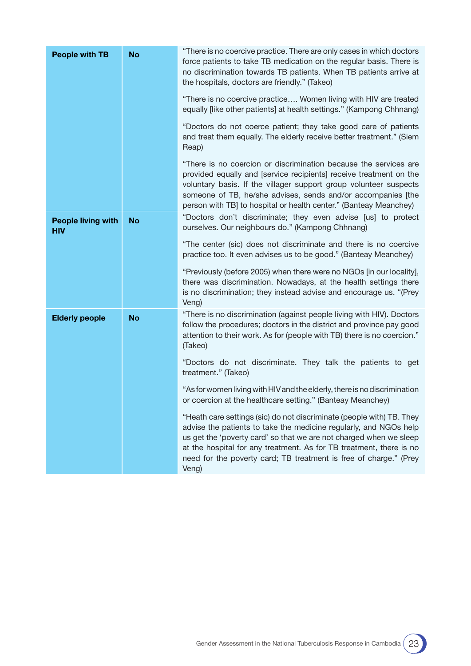| <b>No</b> | "There is no coercive practice. There are only cases in which doctors<br>force patients to take TB medication on the regular basis. There is<br>no discrimination towards TB patients. When TB patients arrive at<br>the hospitals, doctors are friendly." (Takeo)                                                                                                    |
|-----------|-----------------------------------------------------------------------------------------------------------------------------------------------------------------------------------------------------------------------------------------------------------------------------------------------------------------------------------------------------------------------|
|           | "There is no coercive practice Women living with HIV are treated<br>equally [like other patients] at health settings." (Kampong Chhnang)                                                                                                                                                                                                                              |
|           | "Doctors do not coerce patient; they take good care of patients<br>and treat them equally. The elderly receive better treatment." (Siem<br>Reap)                                                                                                                                                                                                                      |
|           | "There is no coercion or discrimination because the services are<br>provided equally and [service recipients] receive treatment on the<br>voluntary basis. If the villager support group volunteer suspects<br>someone of TB, he/she advises, sends and/or accompanies [the<br>person with TB] to hospital or health center." (Banteay Meanchey)                      |
| <b>No</b> | "Doctors don't discriminate; they even advise [us] to protect<br>ourselves. Our neighbours do." (Kampong Chhnang)                                                                                                                                                                                                                                                     |
|           | "The center (sic) does not discriminate and there is no coercive<br>practice too. It even advises us to be good." (Banteay Meanchey)                                                                                                                                                                                                                                  |
|           | "Previously (before 2005) when there were no NGOs [in our locality],<br>there was discrimination. Nowadays, at the health settings there<br>is no discrimination; they instead advise and encourage us. "(Prey<br>Veng)                                                                                                                                               |
| <b>No</b> | "There is no discrimination (against people living with HIV). Doctors<br>follow the procedures; doctors in the district and province pay good<br>attention to their work. As for (people with TB) there is no coercion."<br>(Takeo)                                                                                                                                   |
|           | "Doctors do not discriminate. They talk the patients to get<br>treatment." (Takeo)                                                                                                                                                                                                                                                                                    |
|           | "As for women living with HIV and the elderly, there is no discrimination<br>or coercion at the healthcare setting." (Banteay Meanchey)                                                                                                                                                                                                                               |
|           | "Heath care settings (sic) do not discriminate (people with) TB. They<br>advise the patients to take the medicine regularly, and NGOs help<br>us get the 'poverty card' so that we are not charged when we sleep<br>at the hospital for any treatment. As for TB treatment, there is no<br>need for the poverty card; TB treatment is free of charge." (Prey<br>Veng) |
|           |                                                                                                                                                                                                                                                                                                                                                                       |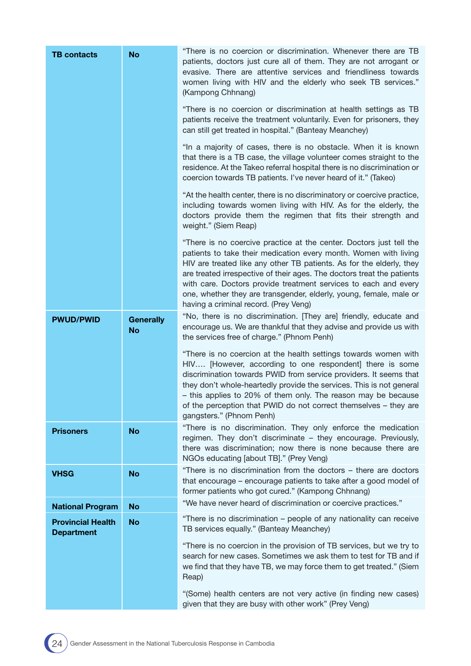| <b>TB</b> contacts                            | <b>No</b>                     | "There is no coercion or discrimination. Whenever there are TB<br>patients, doctors just cure all of them. They are not arrogant or<br>evasive. There are attentive services and friendliness towards<br>women living with HIV and the elderly who seek TB services."<br>(Kampong Chhnang)                                                                                                                                                                                  |
|-----------------------------------------------|-------------------------------|-----------------------------------------------------------------------------------------------------------------------------------------------------------------------------------------------------------------------------------------------------------------------------------------------------------------------------------------------------------------------------------------------------------------------------------------------------------------------------|
|                                               |                               | "There is no coercion or discrimination at health settings as TB<br>patients receive the treatment voluntarily. Even for prisoners, they<br>can still get treated in hospital." (Banteay Meanchey)                                                                                                                                                                                                                                                                          |
|                                               |                               | "In a majority of cases, there is no obstacle. When it is known<br>that there is a TB case, the village volunteer comes straight to the<br>residence. At the Takeo referral hospital there is no discrimination or<br>coercion towards TB patients. I've never heard of it." (Takeo)                                                                                                                                                                                        |
|                                               |                               | "At the health center, there is no discriminatory or coercive practice,<br>including towards women living with HIV. As for the elderly, the<br>doctors provide them the regimen that fits their strength and<br>weight." (Siem Reap)                                                                                                                                                                                                                                        |
|                                               |                               | "There is no coercive practice at the center. Doctors just tell the<br>patients to take their medication every month. Women with living<br>HIV are treated like any other TB patients. As for the elderly, they<br>are treated irrespective of their ages. The doctors treat the patients<br>with care. Doctors provide treatment services to each and every<br>one, whether they are transgender, elderly, young, female, male or<br>having a criminal record. (Prey Veng) |
| <b>PWUD/PWID</b>                              | <b>Generally</b><br><b>No</b> | "No, there is no discrimination. [They are] friendly, educate and<br>encourage us. We are thankful that they advise and provide us with<br>the services free of charge." (Phnom Penh)                                                                                                                                                                                                                                                                                       |
|                                               |                               | "There is no coercion at the health settings towards women with<br>HIV [However, according to one respondent] there is some<br>discrimination towards PWID from service providers. It seems that<br>they don't whole-heartedly provide the services. This is not general<br>- this applies to 20% of them only. The reason may be because<br>of the perception that PWID do not correct themselves - they are<br>gangsters." (Phnom Penh)                                   |
| <b>Prisoners</b>                              | <b>No</b>                     | "There is no discrimination. They only enforce the medication<br>regimen. They don't discriminate - they encourage. Previously,<br>there was discrimination; now there is none because there are<br>NGOs educating [about TB]." (Prey Veng)                                                                                                                                                                                                                                 |
| <b>VHSG</b>                                   | <b>No</b>                     | "There is no discrimination from the doctors - there are doctors<br>that encourage - encourage patients to take after a good model of<br>former patients who got cured." (Kampong Chhnang)                                                                                                                                                                                                                                                                                  |
| <b>National Program</b>                       | <b>No</b>                     | "We have never heard of discrimination or coercive practices."                                                                                                                                                                                                                                                                                                                                                                                                              |
| <b>Provincial Health</b><br><b>Department</b> | <b>No</b>                     | "There is no discrimination - people of any nationality can receive<br>TB services equally." (Banteay Meanchey)                                                                                                                                                                                                                                                                                                                                                             |
|                                               |                               | "There is no coercion in the provision of TB services, but we try to<br>search for new cases. Sometimes we ask them to test for TB and if<br>we find that they have TB, we may force them to get treated." (Siem<br>Reap)                                                                                                                                                                                                                                                   |
|                                               |                               | "(Some) health centers are not very active (in finding new cases)<br>given that they are busy with other work" (Prey Veng)                                                                                                                                                                                                                                                                                                                                                  |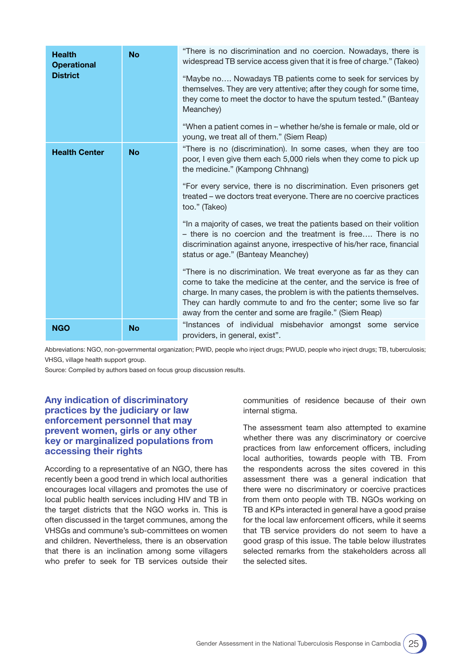| <b>Health</b><br><b>Operational</b><br><b>District</b> | <b>No</b> | "There is no discrimination and no coercion. Nowadays, there is<br>widespread TB service access given that it is free of charge." (Takeo)                                                                                                                                                                                                     |
|--------------------------------------------------------|-----------|-----------------------------------------------------------------------------------------------------------------------------------------------------------------------------------------------------------------------------------------------------------------------------------------------------------------------------------------------|
|                                                        |           | "Maybe no Nowadays TB patients come to seek for services by<br>themselves. They are very attentive; after they cough for some time,<br>they come to meet the doctor to have the sputum tested." (Banteay<br>Meanchey)                                                                                                                         |
|                                                        |           | "When a patient comes in – whether he/she is female or male, old or<br>young, we treat all of them." (Siem Reap)                                                                                                                                                                                                                              |
| <b>Health Center</b>                                   | <b>No</b> | "There is no (discrimination). In some cases, when they are too<br>poor, I even give them each 5,000 riels when they come to pick up<br>the medicine." (Kampong Chhnang)                                                                                                                                                                      |
|                                                        |           | "For every service, there is no discrimination. Even prisoners get<br>treated – we doctors treat everyone. There are no coercive practices<br>too." (Takeo)                                                                                                                                                                                   |
|                                                        |           | "In a majority of cases, we treat the patients based on their volition<br>- there is no coercion and the treatment is free There is no<br>discrimination against anyone, irrespective of his/her race, financial<br>status or age." (Banteay Meanchey)                                                                                        |
|                                                        |           | "There is no discrimination. We treat everyone as far as they can<br>come to take the medicine at the center, and the service is free of<br>charge. In many cases, the problem is with the patients themselves.<br>They can hardly commute to and fro the center; some live so far<br>away from the center and some are fragile." (Siem Reap) |
| <b>NGO</b>                                             | <b>No</b> | "Instances of individual misbehavior amongst some service<br>providers, in general, exist".                                                                                                                                                                                                                                                   |

Abbreviations: NGO, non-governmental organization; PWID, people who inject drugs; PWUD, people who inject drugs; TB, tuberculosis; VHSG, village health support group.

Source: Compiled by authors based on focus group discussion results.

## Any indication of discriminatory practices by the judiciary or law enforcement personnel that may prevent women, girls or any other key or marginalized populations from accessing their rights

According to a representative of an NGO, there has recently been a good trend in which local authorities encourages local villagers and promotes the use of local public health services including HIV and TB in the target districts that the NGO works in. This is often discussed in the target communes, among the VHSGs and commune's sub-committees on women and children. Nevertheless, there is an observation that there is an inclination among some villagers who prefer to seek for TB services outside their communities of residence because of their own internal stigma.

The assessment team also attempted to examine whether there was any discriminatory or coercive practices from law enforcement officers, including local authorities, towards people with TB. From the respondents across the sites covered in this assessment there was a general indication that there were no discriminatory or coercive practices from them onto people with TB. NGOs working on TB and KPs interacted in general have a good praise for the local law enforcement officers, while it seems that TB service providers do not seem to have a good grasp of this issue. The table below illustrates selected remarks from the stakeholders across all the selected sites.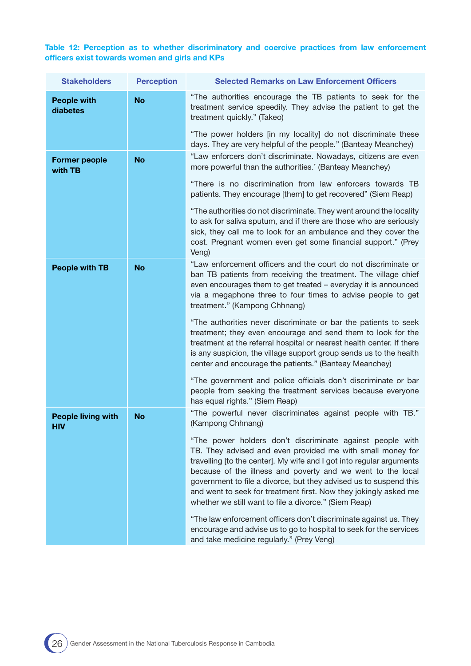## Table 12: Perception as to whether discriminatory and coercive practices from law enforcement officers exist towards women and girls and KPs

| <b>Stakeholders</b>              | <b>Perception</b> | <b>Selected Remarks on Law Enforcement Officers</b>                                                                                                                                                                                                                                                                                                                                                                                                                                                                                                                                                                                                      |
|----------------------------------|-------------------|----------------------------------------------------------------------------------------------------------------------------------------------------------------------------------------------------------------------------------------------------------------------------------------------------------------------------------------------------------------------------------------------------------------------------------------------------------------------------------------------------------------------------------------------------------------------------------------------------------------------------------------------------------|
| <b>People with</b><br>diabetes   | <b>No</b>         | "The authorities encourage the TB patients to seek for the<br>treatment service speedily. They advise the patient to get the<br>treatment quickly." (Takeo)                                                                                                                                                                                                                                                                                                                                                                                                                                                                                              |
|                                  |                   | "The power holders [in my locality] do not discriminate these<br>days. They are very helpful of the people." (Banteay Meanchey)                                                                                                                                                                                                                                                                                                                                                                                                                                                                                                                          |
| <b>Former people</b><br>with TB  | <b>No</b>         | "Law enforcers don't discriminate. Nowadays, citizens are even<br>more powerful than the authorities.' (Banteay Meanchey)                                                                                                                                                                                                                                                                                                                                                                                                                                                                                                                                |
|                                  |                   | "There is no discrimination from law enforcers towards TB<br>patients. They encourage [them] to get recovered" (Siem Reap)                                                                                                                                                                                                                                                                                                                                                                                                                                                                                                                               |
|                                  |                   | "The authorities do not discriminate. They went around the locality<br>to ask for saliva sputum, and if there are those who are seriously<br>sick, they call me to look for an ambulance and they cover the<br>cost. Pregnant women even get some financial support." (Prey<br>Veng)                                                                                                                                                                                                                                                                                                                                                                     |
| <b>People with TB</b>            | <b>No</b>         | "Law enforcement officers and the court do not discriminate or<br>ban TB patients from receiving the treatment. The village chief<br>even encourages them to get treated - everyday it is announced<br>via a megaphone three to four times to advise people to get<br>treatment." (Kampong Chhnang)                                                                                                                                                                                                                                                                                                                                                      |
|                                  |                   | "The authorities never discriminate or bar the patients to seek<br>treatment; they even encourage and send them to look for the<br>treatment at the referral hospital or nearest health center. If there<br>is any suspicion, the village support group sends us to the health<br>center and encourage the patients." (Banteay Meanchey)                                                                                                                                                                                                                                                                                                                 |
|                                  |                   | "The government and police officials don't discriminate or bar<br>people from seeking the treatment services because everyone<br>has equal rights." (Siem Reap)                                                                                                                                                                                                                                                                                                                                                                                                                                                                                          |
| <b>People living with</b><br>нıv | <b>No</b>         | "The powerful never discriminates against people with TB."<br>(Kampong Chhnang)                                                                                                                                                                                                                                                                                                                                                                                                                                                                                                                                                                          |
|                                  |                   | "The power holders don't discriminate against people with<br>TB. They advised and even provided me with small money for<br>travelling [to the center]. My wife and I got into regular arguments<br>because of the illness and poverty and we went to the local<br>government to file a divorce, but they advised us to suspend this<br>and went to seek for treatment first. Now they jokingly asked me<br>whether we still want to file a divorce." (Siem Reap)<br>"The law enforcement officers don't discriminate against us. They<br>encourage and advise us to go to hospital to seek for the services<br>and take medicine regularly." (Prey Veng) |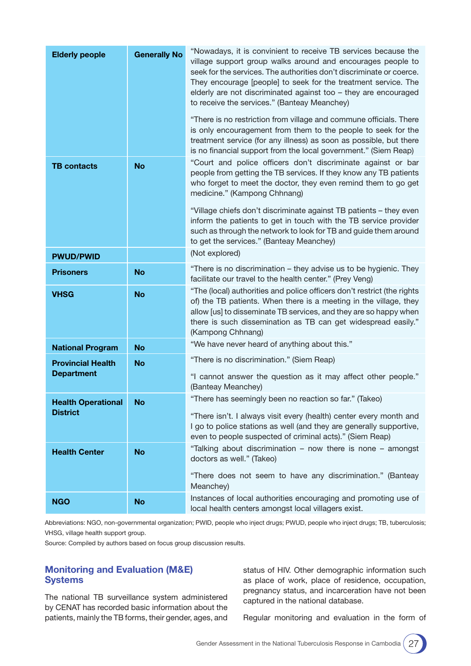| <b>Elderly people</b>                         | <b>Generally No</b> | "Nowadays, it is convinient to receive TB services because the<br>village support group walks around and encourages people to<br>seek for the services. The authorities don't discriminate or coerce.<br>They encourage [people] to seek for the treatment service. The<br>elderly are not discriminated against too - they are encouraged<br>to receive the services." (Banteay Meanchey)<br>"There is no restriction from village and commune officials. There<br>is only encouragement from them to the people to seek for the |
|-----------------------------------------------|---------------------|-----------------------------------------------------------------------------------------------------------------------------------------------------------------------------------------------------------------------------------------------------------------------------------------------------------------------------------------------------------------------------------------------------------------------------------------------------------------------------------------------------------------------------------|
|                                               |                     | treatment service (for any illness) as soon as possible, but there<br>is no financial support from the local government." (Siem Reap)                                                                                                                                                                                                                                                                                                                                                                                             |
| <b>TB contacts</b>                            | <b>No</b>           | "Court and police officers don't discriminate against or bar<br>people from getting the TB services. If they know any TB patients<br>who forget to meet the doctor, they even remind them to go get<br>medicine." (Kampong Chhnang)                                                                                                                                                                                                                                                                                               |
|                                               |                     | "Village chiefs don't discriminate against TB patients - they even<br>inform the patients to get in touch with the TB service provider<br>such as through the network to look for TB and guide them around<br>to get the services." (Banteay Meanchey)                                                                                                                                                                                                                                                                            |
| <b>PWUD/PWID</b>                              |                     | (Not explored)                                                                                                                                                                                                                                                                                                                                                                                                                                                                                                                    |
| <b>Prisoners</b>                              | <b>No</b>           | "There is no discrimination - they advise us to be hygienic. They<br>facilitate our travel to the health center." (Prey Veng)                                                                                                                                                                                                                                                                                                                                                                                                     |
| <b>VHSG</b>                                   | <b>No</b>           | "The (local) authorities and police officers don't restrict (the rights<br>of) the TB patients. When there is a meeting in the village, they<br>allow [us] to disseminate TB services, and they are so happy when<br>there is such dissemination as TB can get widespread easily."<br>(Kampong Chhnang)                                                                                                                                                                                                                           |
| <b>National Program</b>                       | <b>No</b>           | "We have never heard of anything about this."                                                                                                                                                                                                                                                                                                                                                                                                                                                                                     |
| <b>Provincial Health</b><br><b>Department</b> | <b>No</b>           | "There is no discrimination." (Siem Reap)<br>"I cannot answer the question as it may affect other people."<br>(Banteay Meanchey)                                                                                                                                                                                                                                                                                                                                                                                                  |
| <b>Health Operational</b><br><b>District</b>  | <b>No</b>           | "There has seemingly been no reaction so far." (Takeo)<br>"There isn't. I always visit every (health) center every month and<br>I go to police stations as well (and they are generally supportive,<br>even to people suspected of criminal acts)." (Siem Reap)                                                                                                                                                                                                                                                                   |
| <b>Health Center</b>                          | <b>No</b>           | "Talking about discrimination - now there is none - amongst<br>doctors as well." (Takeo)<br>"There does not seem to have any discrimination." (Banteay                                                                                                                                                                                                                                                                                                                                                                            |
|                                               |                     | Meanchey)<br>Instances of local authorities encouraging and promoting use of                                                                                                                                                                                                                                                                                                                                                                                                                                                      |
| <b>NGO</b>                                    | <b>No</b>           | local health centers amongst local villagers exist.                                                                                                                                                                                                                                                                                                                                                                                                                                                                               |

Abbreviations: NGO, non-governmental organization; PWID, people who inject drugs; PWUD, people who inject drugs; TB, tuberculosis; VHSG, village health support group.

Source: Compiled by authors based on focus group discussion results.

## Monitoring and Evaluation (M&E) **Systems**

The national TB surveillance system administered by CENAT has recorded basic information about the patients, mainly the TB forms, their gender, ages, and

status of HIV. Other demographic information such as place of work, place of residence, occupation, pregnancy status, and incarceration have not been captured in the national database.

Regular monitoring and evaluation in the form of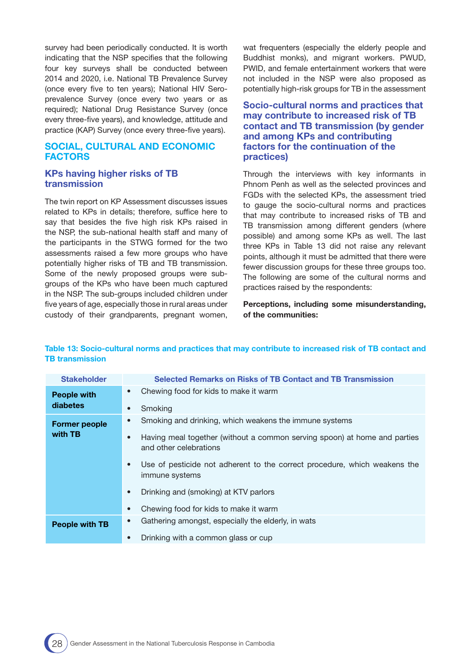survey had been periodically conducted. It is worth indicating that the NSP specifes that the following four key surveys shall be conducted between 2014 and 2020, i.e. National TB Prevalence Survey (once every five to ten years); National HIV Seroprevalence Survey (once every two years or as required); National Drug Resistance Survey (once every three-five years), and knowledge, attitude and practice (KAP) Survey (once every three-five years).

## SOCIAL, CULTURAL AND ECONOMIC FACTORS

#### KPs having higher risks of TB transmission

The twin report on KP Assessment discusses issues related to KPs in details; therefore, suffice here to say that besides the five high risk KPs raised in the NSP, the sub-national health staff and many of the participants in the STWG formed for the two assessments raised a few more groups who have potentially higher risks of TB and TB transmission. Some of the newly proposed groups were subgroups of the KPs who have been much captured in the NSP. The sub-groups included children under five years of age, especially those in rural areas under custody of their grandparents, pregnant women, wat frequenters (especially the elderly people and Buddhist monks), and migrant workers. PWUD, PWID, and female entertainment workers that were not included in the NSP were also proposed as potentially high-risk groups for TB in the assessment

Socio-cultural norms and practices that may contribute to increased risk of TB contact and TB transmission (by gender and among KPs and contributing factors for the continuation of the practices)

Through the interviews with key informants in Phnom Penh as well as the selected provinces and FGDs with the selected KPs, the assessment tried to gauge the socio-cultural norms and practices that may contribute to increased risks of TB and TB transmission among different genders (where possible) and among some KPs as well. The last three KPs in Table 13 did not raise any relevant points, although it must be admitted that there were fewer discussion groups for these three groups too. The following are some of the cultural norms and practices raised by the respondents:

Perceptions, including some misunderstanding, of the communities:

#### Table 13: Socio-cultural norms and practices that may contribute to increased risk of TB contact and TB transmission

| <b>Stakeholder</b>    | <b>Selected Remarks on Risks of TB Contact and TB Transmission</b>                                               |
|-----------------------|------------------------------------------------------------------------------------------------------------------|
| <b>People with</b>    | Chewing food for kids to make it warm<br>$\bullet$                                                               |
| diabetes              | Smoking<br>$\bullet$                                                                                             |
| <b>Former people</b>  | Smoking and drinking, which weakens the immune systems<br>$\bullet$                                              |
| with TB               | Having meal together (without a common serving spoon) at home and parties<br>$\bullet$<br>and other celebrations |
|                       | Use of pesticide not adherent to the correct procedure, which weakens the<br>$\bullet$<br>immune systems         |
|                       | Drinking and (smoking) at KTV parlors<br>$\bullet$                                                               |
|                       | Chewing food for kids to make it warm<br>$\bullet$                                                               |
| <b>People with TB</b> | Gathering amongst, especially the elderly, in wats<br>$\bullet$                                                  |
|                       | Drinking with a common glass or cup<br>$\bullet$                                                                 |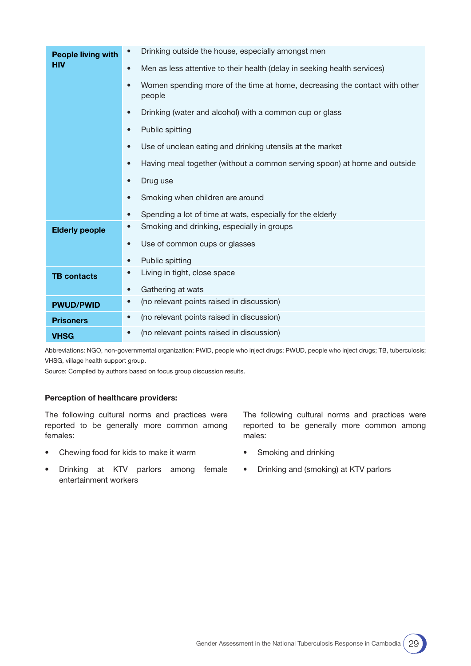| <b>People living with</b> | Drinking outside the house, especially amongst men<br>$\bullet$                                   |
|---------------------------|---------------------------------------------------------------------------------------------------|
| <b>HIV</b>                | Men as less attentive to their health (delay in seeking health services)<br>$\bullet$             |
|                           | Women spending more of the time at home, decreasing the contact with other<br>$\bullet$<br>people |
|                           | Drinking (water and alcohol) with a common cup or glass<br>$\bullet$                              |
|                           | Public spitting<br>$\bullet$                                                                      |
|                           | Use of unclean eating and drinking utensils at the market<br>$\bullet$                            |
|                           | Having meal together (without a common serving spoon) at home and outside<br>$\bullet$            |
|                           | Drug use<br>$\bullet$                                                                             |
|                           | Smoking when children are around<br>$\bullet$                                                     |
|                           | Spending a lot of time at wats, especially for the elderly<br>$\bullet$                           |
| <b>Elderly people</b>     | Smoking and drinking, especially in groups<br>$\bullet$                                           |
|                           | Use of common cups or glasses<br>$\bullet$                                                        |
|                           | Public spitting<br>$\bullet$                                                                      |
| <b>TB</b> contacts        | Living in tight, close space<br>$\bullet$                                                         |
|                           | Gathering at wats<br>$\bullet$                                                                    |
| <b>PWUD/PWID</b>          | (no relevant points raised in discussion)<br>$\bullet$                                            |
| <b>Prisoners</b>          | (no relevant points raised in discussion)<br>$\bullet$                                            |
| <b>VHSG</b>               | (no relevant points raised in discussion)<br>$\bullet$                                            |

Abbreviations: NGO, non-governmental organization; PWID, people who inject drugs; PWUD, people who inject drugs; TB, tuberculosis; VHSG, village health support group.

Source: Compiled by authors based on focus group discussion results.

#### Perception of healthcare providers:

The following cultural norms and practices were reported to be generally more common among females:

- Chewing food for kids to make it warm
- Drinking at KTV parlors among female entertainment workers

The following cultural norms and practices were reported to be generally more common among males:

- Smoking and drinking
- Drinking and (smoking) at KTV parlors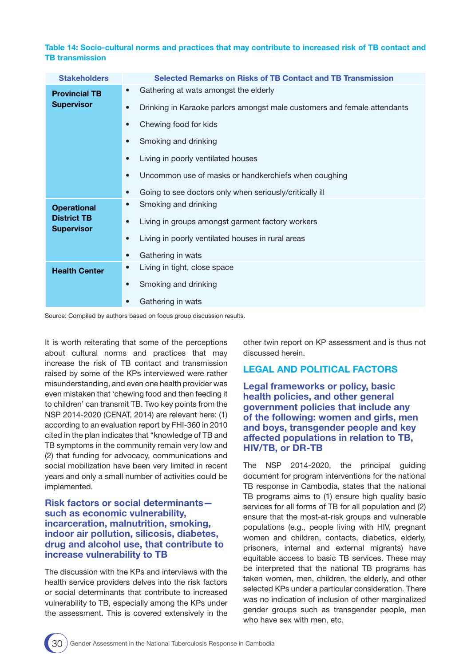#### Table 14: Socio-cultural norms and practices that may contribute to increased risk of TB contact and TB transmission

| <b>Stakeholders</b>                     | Selected Remarks on Risks of TB Contact and TB Transmission                           |  |  |  |  |
|-----------------------------------------|---------------------------------------------------------------------------------------|--|--|--|--|
| <b>Provincial TB</b>                    | Gathering at wats amongst the elderly<br>$\bullet$                                    |  |  |  |  |
| <b>Supervisor</b>                       | Drinking in Karaoke parlors amongst male customers and female attendants<br>$\bullet$ |  |  |  |  |
|                                         | Chewing food for kids<br>$\bullet$                                                    |  |  |  |  |
|                                         | Smoking and drinking<br>$\bullet$                                                     |  |  |  |  |
|                                         | Living in poorly ventilated houses<br>$\bullet$                                       |  |  |  |  |
|                                         | Uncommon use of masks or handkerchiefs when coughing<br>$\bullet$                     |  |  |  |  |
|                                         | Going to see doctors only when seriously/critically ill<br>$\bullet$                  |  |  |  |  |
| <b>Operational</b>                      | Smoking and drinking<br>$\bullet$                                                     |  |  |  |  |
| <b>District TB</b><br><b>Supervisor</b> | Living in groups amongst garment factory workers<br>$\bullet$                         |  |  |  |  |
|                                         | Living in poorly ventilated houses in rural areas<br>$\bullet$                        |  |  |  |  |
|                                         | Gathering in wats<br>$\bullet$                                                        |  |  |  |  |
| <b>Health Center</b>                    | Living in tight, close space<br>$\bullet$                                             |  |  |  |  |
|                                         | Smoking and drinking<br>$\bullet$                                                     |  |  |  |  |
|                                         | Gathering in wats                                                                     |  |  |  |  |
|                                         |                                                                                       |  |  |  |  |

Source: Compiled by authors based on focus group discussion results.

It is worth reiterating that some of the perceptions about cultural norms and practices that may increase the risk of TB contact and transmission raised by some of the KPs interviewed were rather misunderstanding, and even one health provider was even mistaken that 'chewing food and then feeding it to children' can transmit TB. Two key points from the NSP 2014-2020 (CENAT, 2014) are relevant here: (1) according to an evaluation report by FHI-360 in 2010 cited in the plan indicates that "knowledge of TB and TB symptoms in the community remain very low and (2) that funding for advocacy, communications and social mobilization have been very limited in recent years and only a small number of activities could be implemented.

## Risk factors or social determinants such as economic vulnerability, incarceration, malnutrition, smoking, indoor air pollution, silicosis, diabetes, drug and alcohol use, that contribute to increase vulnerability to TB

The discussion with the KPs and interviews with the health service providers delves into the risk factors or social determinants that contribute to increased vulnerability to TB, especially among the KPs under the assessment. This is covered extensively in the other twin report on KP assessment and is thus not discussed herein.

## LEGAL AND POLITICAL FACTORS

Legal frameworks or policy, basic health policies, and other general government policies that include any of the following: women and girls, men and boys, transgender people and key affected populations in relation to TB, HIV/TB, or DR-TB

The NSP 2014-2020, the principal guiding document for program interventions for the national TB response in Cambodia, states that the national TB programs aims to (1) ensure high quality basic services for all forms of TB for all population and (2) ensure that the most-at-risk groups and vulnerable populations (e.g., people living with HIV, pregnant women and children, contacts, diabetics, elderly, prisoners, internal and external migrants) have equitable access to basic TB services. These may be interpreted that the national TB programs has taken women, men, children, the elderly, and other selected KPs under a particular consideration. There was no indication of inclusion of other marginalized gender groups such as transgender people, men who have sex with men, etc.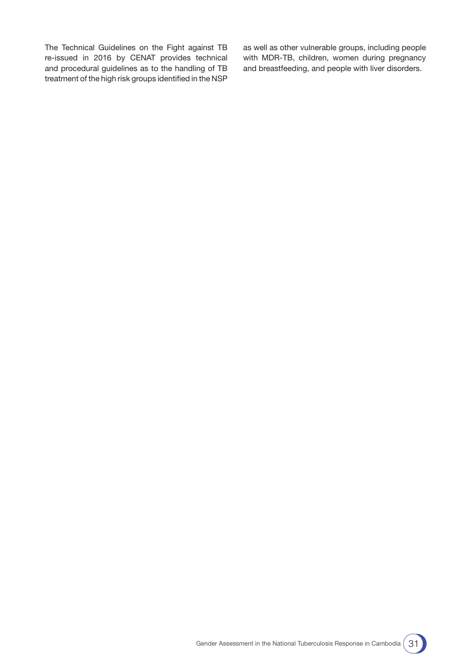The Technical Guidelines on the Fight against TB re-issued in 2016 by CENAT provides technical and procedural guidelines as to the handling of TB treatment of the high risk groups identifed in the NSP

as well as other vulnerable groups, including people with MDR-TB, children, women during pregnancy and breastfeeding, and people with liver disorders.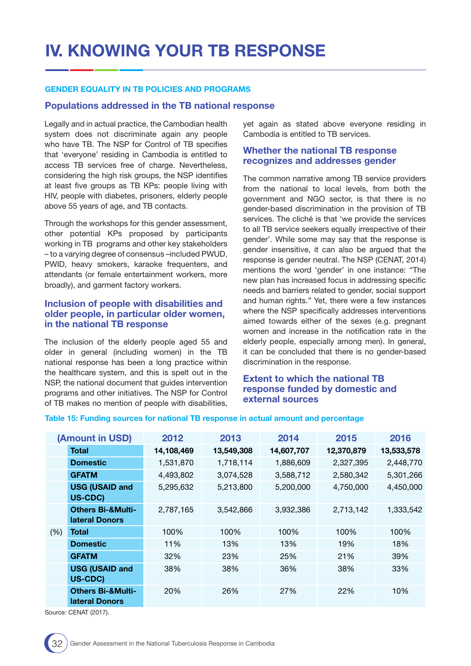#### GENDER EQUALITY IN TB POLICIES AND PROGRAMS

#### Populations addressed in the TB national response

Legally and in actual practice, the Cambodian health system does not discriminate again any people who have TB. The NSP for Control of TB specifies that 'everyone' residing in Cambodia is entitled to access TB services free of charge. Nevertheless, considering the high risk groups, the NSP identifes at least five groups as TB KPs: people living with HIV, people with diabetes, prisoners, elderly people above 55 years of age, and TB contacts.

Through the workshops for this gender assessment, other potential KPs proposed by participants working in TB programs and other key stakeholders – to a varying degree of consensus –included PWUD, PWID, heavy smokers, karaoke frequenters, and attendants (or female entertainment workers, more broadly), and garment factory workers.

### Inclusion of people with disabilities and older people, in particular older women, in the national TB response

The inclusion of the elderly people aged 55 and older in general (including women) in the TB national response has been a long practice within the healthcare system, and this is spelt out in the NSP, the national document that guides intervention programs and other initiatives. The NSP for Control of TB makes no mention of people with disabilities,

yet again as stated above everyone residing in Cambodia is entitled to TB services.

#### Whether the national TB response recognizes and addresses gender

The common narrative among TB service providers from the national to local levels, from both the government and NGO sector, is that there is no gender-based discrimination in the provision of TB services. The cliché is that 'we provide the services to all TB service seekers equally irrespective of their gender'. While some may say that the response is gender insensitive, it can also be argued that the response is gender neutral. The NSP (CENAT, 2014) mentions the word 'gender' in one instance: "The new plan has increased focus in addressing specific needs and barriers related to gender, social support and human rights." Yet, there were a few instances where the NSP specifically addresses interventions aimed towards either of the sexes (e.g. pregnant women and increase in the notification rate in the elderly people, especially among men). In general, it can be concluded that there is no gender-based discrimination in the response.

## Extent to which the national TB response funded by domestic and external sources

#### Table 15: Funding sources for national TB response in actual amount and percentage

| (Amount in USD) |                                                       | 2012       | 2013       | 2014       | 2015       | 2016       |
|-----------------|-------------------------------------------------------|------------|------------|------------|------------|------------|
|                 | <b>Total</b>                                          | 14,108,469 | 13,549,308 | 14,607,707 | 12,370,879 | 13,533,578 |
|                 | <b>Domestic</b>                                       | 1,531,870  | 1,718,114  | 1,886,609  | 2,327,395  | 2,448,770  |
|                 | <b>GFATM</b>                                          | 4,493,802  | 3,074,528  | 3,588,712  | 2,580,342  | 5,301,266  |
|                 | <b>USG (USAID and</b><br>US-CDC)                      | 5,295,632  | 5,213,800  | 5,200,000  | 4,750,000  | 4,450,000  |
|                 | <b>Others Bi-&amp;Multi-</b><br><b>lateral Donors</b> | 2,787,165  | 3,542,866  | 3,932,386  | 2,713,142  | 1,333,542  |
| (% )            | Total                                                 | 100%       | 100%       | 100%       | 100%       | 100%       |
|                 | <b>Domestic</b>                                       | 11%        | 13%        | 13%        | 19%        | 18%        |
|                 | <b>GFATM</b>                                          | 32%        | 23%        | 25%        | 21%        | 39%        |
|                 | <b>USG (USAID and</b><br>US-CDC)                      | 38%        | 38%        | 36%        | 38%        | 33%        |
|                 | <b>Others Bi-&amp;Multi-</b><br>lateral Donors        | 20%        | 26%        | 27%        | 22%        | 10%        |

Source: CENAT (2017).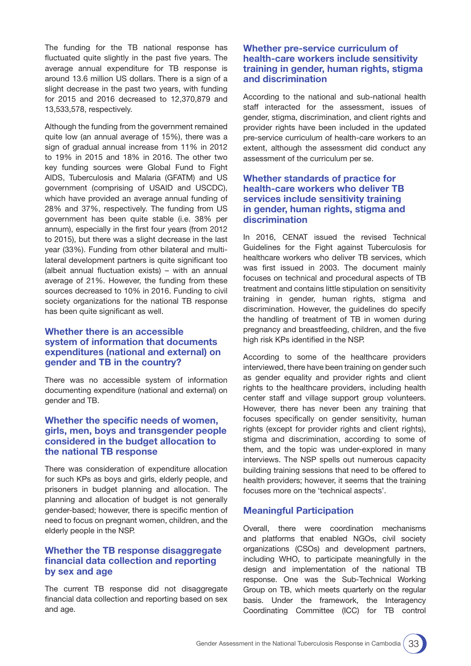The funding for the TB national response has fluctuated quite slightly in the past five years. The average annual expenditure for TB response is around 13.6 million US dollars. There is a sign of a slight decrease in the past two years, with funding for 2015 and 2016 decreased to 12,370,879 and 13,533,578, respectively.

Although the funding from the government remained quite low (an annual average of 15%), there was a sign of gradual annual increase from 11% in 2012 to 19% in 2015 and 18% in 2016. The other two key funding sources were Global Fund to Fight AIDS, Tuberculosis and Malaria (GFATM) and US government (comprising of USAID and USCDC), which have provided an average annual funding of 28% and 37%, respectively. The funding from US government has been quite stable (i.e. 38% per annum), especially in the first four years (from 2012 to 2015), but there was a slight decrease in the last year (33%). Funding from other bilateral and multilateral development partners is quite significant too (albeit annual fuctuation exists) – with an annual average of 21%. However, the funding from these sources decreased to 10% in 2016. Funding to civil society organizations for the national TB response has been quite significant as well.

## Whether there is an accessible system of information that documents expenditures (national and external) on gender and TB in the country?

There was no accessible system of information documenting expenditure (national and external) on gender and TB.

## Whether the specific needs of women, girls, men, boys and transgender people considered in the budget allocation to the national TB response

There was consideration of expenditure allocation for such KPs as boys and girls, elderly people, and prisoners in budget planning and allocation. The planning and allocation of budget is not generally gender-based; however, there is specific mention of need to focus on pregnant women, children, and the elderly people in the NSP.

## Whether the TB response disaggregate financial data collection and reporting by sex and age

The current TB response did not disaggregate financial data collection and reporting based on sex and age.

## Whether pre-service curriculum of health-care workers include sensitivity training in gender, human rights, stigma and discrimination

According to the national and sub-national health staff interacted for the assessment, issues of gender, stigma, discrimination, and client rights and provider rights have been included in the updated pre-service curriculum of health-care workers to an extent, although the assessment did conduct any assessment of the curriculum per se.

## Whether standards of practice for health-care workers who deliver TB services include sensitivity training in gender, human rights, stigma and discrimination

In 2016, CENAT issued the revised Technical Guidelines for the Fight against Tuberculosis for healthcare workers who deliver TB services, which was first issued in 2003. The document mainly focuses on technical and procedural aspects of TB treatment and contains little stipulation on sensitivity training in gender, human rights, stigma and discrimination. However, the guidelines do specify the handling of treatment of TB in women during pregnancy and breastfeeding, children, and the five high risk KPs identifed in the NSP.

According to some of the healthcare providers interviewed, there have been training on gender such as gender equality and provider rights and client rights to the healthcare providers, including health center staff and village support group volunteers. However, there has never been any training that focuses specifically on gender sensitivity, human rights (except for provider rights and client rights), stigma and discrimination, according to some of them, and the topic was under-explored in many interviews. The NSP spells out numerous capacity building training sessions that need to be offered to health providers; however, it seems that the training focuses more on the 'technical aspects'.

## Meaningful Participation

Overall, there were coordination mechanisms and platforms that enabled NGOs, civil society organizations (CSOs) and development partners, including WHO, to participate meaningfully in the design and implementation of the national TB response. One was the Sub-Technical Working Group on TB, which meets quarterly on the regular basis. Under the framework, the Interagency Coordinating Committee (ICC) for TB control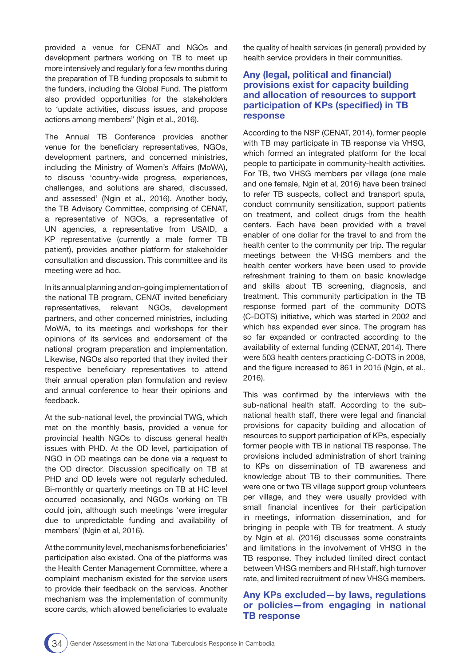provided a venue for CENAT and NGOs and development partners working on TB to meet up more intensively and regularly for a few months during the preparation of TB funding proposals to submit to the funders, including the Global Fund. The platform also provided opportunities for the stakeholders to 'update activities, discuss issues, and propose actions among members" (Ngin et al., 2016).

The Annual TB Conference provides another venue for the beneficiary representatives, NGOs, development partners, and concerned ministries, including the Ministry of Women's Affairs (MoWA), to discuss 'country-wide progress, experiences, challenges, and solutions are shared, discussed, and assessed' (Ngin et al., 2016). Another body, the TB Advisory Committee, comprising of CENAT, a representative of NGOs, a representative of UN agencies, a representative from USAID, a KP representative (currently a male former TB patient), provides another platform for stakeholder consultation and discussion. This committee and its meeting were ad hoc.

In its annual planning and on-going implementation of the national TB program, CENAT invited beneficiary representatives, relevant NGOs, development partners, and other concerned ministries, including MoWA, to its meetings and workshops for their opinions of its services and endorsement of the national program preparation and implementation. Likewise, NGOs also reported that they invited their respective beneficiary representatives to attend their annual operation plan formulation and review and annual conference to hear their opinions and feedback.

At the sub-national level, the provincial TWG, which met on the monthly basis, provided a venue for provincial health NGOs to discuss general health issues with PHD. At the OD level, participation of NGO in OD meetings can be done via a request to the OD director. Discussion specifically on TB at PHD and OD levels were not regularly scheduled. Bi-monthly or quarterly meetings on TB at HC level occurred occasionally, and NGOs working on TB could join, although such meetings 'were irregular due to unpredictable funding and availability of members' (Ngin et al, 2016).

At the community level, mechanisms for beneficiaries' participation also existed. One of the platforms was the Health Center Management Committee, where a complaint mechanism existed for the service users to provide their feedback on the services. Another mechanism was the implementation of community score cards, which allowed beneficiaries to evaluate

the quality of health services (in general) provided by health service providers in their communities.

### Any (legal, political and financial) provisions exist for capacity building and allocation of resources to support participation of KPs (specified) in TB response

According to the NSP (CENAT, 2014), former people with TB may participate in TB response via VHSG. which formed an integrated platform for the local people to participate in community-health activities. For TB, two VHSG members per village (one male and one female, Ngin et al, 2016) have been trained to refer TB suspects, collect and transport sputa, conduct community sensitization, support patients on treatment, and collect drugs from the health centers. Each have been provided with a travel enabler of one dollar for the travel to and from the health center to the community per trip. The regular meetings between the VHSG members and the health center workers have been used to provide refreshment training to them on basic knowledge and skills about TB screening, diagnosis, and treatment. This community participation in the TB response formed part of the community DOTS (C-DOTS) initiative, which was started in 2002 and which has expended ever since. The program has so far expanded or contracted according to the availability of external funding (CENAT, 2014). There were 503 health centers practicing C-DOTS in 2008, and the fgure increased to 861 in 2015 (Ngin, et al., 2016).

This was confirmed by the interviews with the sub-national health staff. According to the subnational health staff, there were legal and financial provisions for capacity building and allocation of resources to support participation of KPs, especially former people with TB in national TB response. The provisions included administration of short training to KPs on dissemination of TB awareness and knowledge about TB to their communities. There were one or two TB village support group volunteers per village, and they were usually provided with small financial incentives for their participation in meetings, information dissemination, and for bringing in people with TB for treatment. A study by Ngin et al. (2016) discusses some constraints and limitations in the involvement of VHSG in the TB response. They included limited direct contact between VHSG members and RH staff, high turnover rate, and limited recruitment of new VHSG members.

## Any KPs excluded—by laws, regulations or policies—from engaging in national TB response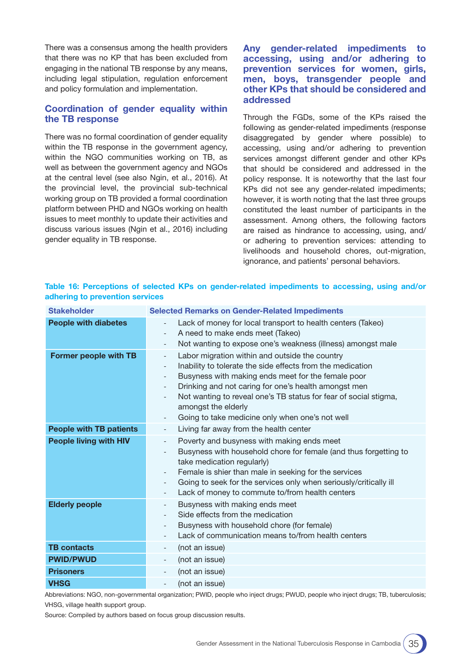There was a consensus among the health providers that there was no KP that has been excluded from engaging in the national TB response by any means, including legal stipulation, regulation enforcement and policy formulation and implementation.

## Coordination of gender equality within the TB response

There was no formal coordination of gender equality within the TB response in the government agency, within the NGO communities working on TB, as well as between the government agency and NGOs at the central level (see also Ngin, et al., 2016). At the provincial level, the provincial sub-technical working group on TB provided a formal coordination platform between PHD and NGOs working on health issues to meet monthly to update their activities and discuss various issues (Ngin et al., 2016) including gender equality in TB response.

## Any gender-related impediments accessing, using and/or adhering to prevention services for women, girls, men, boys, transgender people and other KPs that should be considered and addressed

Through the FGDs, some of the KPs raised the following as gender-related impediments (response disaggregated by gender where possible) to accessing, using and/or adhering to prevention services amongst different gender and other KPs that should be considered and addressed in the policy response. It is noteworthy that the last four KPs did not see any gender-related impediments; however, it is worth noting that the last three groups constituted the least number of participants in the assessment. Among others, the following factors are raised as hindrance to accessing, using, and/ or adhering to prevention services: attending to livelihoods and household chores, out-migration, ignorance, and patients' personal behaviors.

| <b>Stakeholder</b>             | <b>Selected Remarks on Gender-Related Impediments</b>                                                                                                                                                                                                                                                                                                                                                                                                                                                            |
|--------------------------------|------------------------------------------------------------------------------------------------------------------------------------------------------------------------------------------------------------------------------------------------------------------------------------------------------------------------------------------------------------------------------------------------------------------------------------------------------------------------------------------------------------------|
| <b>People with diabetes</b>    | Lack of money for local transport to health centers (Takeo)<br>$\overline{a}$<br>A need to make ends meet (Takeo)<br>$\qquad \qquad -$<br>Not wanting to expose one's weakness (illness) amongst male<br>$\qquad \qquad -$                                                                                                                                                                                                                                                                                       |
| <b>Former people with TB</b>   | Labor migration within and outside the country<br>$\qquad \qquad -$<br>Inability to tolerate the side effects from the medication<br>$\frac{1}{2}$<br>Busyness with making ends meet for the female poor<br>$\overline{\phantom{a}}$<br>Drinking and not caring for one's health amongst men<br>$\qquad \qquad -$<br>Not wanting to reveal one's TB status for fear of social stigma,<br>$\qquad \qquad -$<br>amongst the elderly<br>Going to take medicine only when one's not well<br>$\overline{\phantom{0}}$ |
| <b>People with TB patients</b> | Living far away from the health center<br>$\overline{\phantom{a}}$                                                                                                                                                                                                                                                                                                                                                                                                                                               |
| <b>People living with HIV</b>  | Poverty and busyness with making ends meet<br>$\qquad \qquad -$<br>Busyness with household chore for female (and thus forgetting to<br>$\qquad \qquad -$<br>take medication regularly)<br>Female is shier than male in seeking for the services<br>Going to seek for the services only when seriously/critically ill<br>$\qquad \qquad -$<br>Lack of money to commute to/from health centers<br>$\qquad \qquad -$                                                                                                |
| <b>Elderly people</b>          | Busyness with making ends meet<br>$\overline{\phantom{a}}$<br>Side effects from the medication<br>Busyness with household chore (for female)<br>$\qquad \qquad -$<br>Lack of communication means to/from health centers<br>$\overline{\phantom{0}}$                                                                                                                                                                                                                                                              |
| <b>TB contacts</b>             | (not an issue)<br>$\blacksquare$                                                                                                                                                                                                                                                                                                                                                                                                                                                                                 |
| <b>PWID/PWUD</b>               | (not an issue)<br>$\overline{\phantom{a}}$                                                                                                                                                                                                                                                                                                                                                                                                                                                                       |
| <b>Prisoners</b>               | (not an issue)<br>$\qquad \qquad -$                                                                                                                                                                                                                                                                                                                                                                                                                                                                              |
| <b>VHSG</b>                    | (not an issue)<br>$\qquad \qquad -$                                                                                                                                                                                                                                                                                                                                                                                                                                                                              |

#### Table 16: Perceptions of selected KPs on gender-related impediments to accessing, using and/or adhering to prevention services

Abbreviations: NGO, non-governmental organization; PWID, people who inject drugs; PWUD, people who inject drugs; TB, tuberculosis; VHSG, village health support group.

Source: Compiled by authors based on focus group discussion results.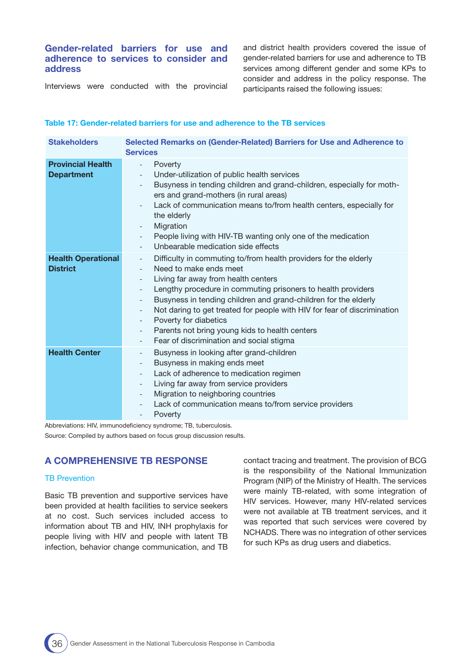## Gender-related barriers for use and adherence to services to consider and address

and district health providers covered the issue of gender-related barriers for use and adherence to TB services among different gender and some KPs to consider and address in the policy response. The participants raised the following issues:

Interviews were conducted with the provincial

#### Stakeholders Selected Remarks on (Gender-Related) Barriers for Use and Adherence to **Services** Provincial Health **Department** Poverty Under-utilization of public health services Busyness in tending children and grand-children, especially for mothers and grand-mothers (in rural areas) Lack of communication means to/from health centers, especially for the elderly **Migration** People living with HIV-TB wanting only one of the medication Unbearable medication side effects Health Operational **District** Difficulty in commuting to/from health providers for the elderly Need to make ends meet Living far away from health centers Lengthy procedure in commuting prisoners to health providers Busyness in tending children and grand-children for the elderly Not daring to get treated for people with HIV for fear of discrimination Poverty for diabetics Parents not bring young kids to health centers Fear of discrimination and social stigma **Health Center Example 2** Busyness in looking after grand-children Busyness in making ends meet Lack of adherence to medication regimen Living far away from service providers Migration to neighboring countries Lack of communication means to/from service providers **Poverty**

#### Table 17: Gender-related barriers for use and adherence to the TB services

Abbreviations: HIV, immunodeficiency syndrome; TB, tuberculosis.

Source: Compiled by authors based on focus group discussion results.

## A COMPREHENSIVE TB RESPONSE

#### **TB Prevention**

Basic TB prevention and supportive services have been provided at health facilities to service seekers at no cost. Such services included access to information about TB and HIV, INH prophylaxis for people living with HIV and people with latent TB infection, behavior change communication, and TB contact tracing and treatment. The provision of BCG is the responsibility of the National Immunization Program (NIP) of the Ministry of Health. The services were mainly TB-related, with some integration of HIV services. However, many HIV-related services were not available at TB treatment services, and it was reported that such services were covered by NCHADS. There was no integration of other services for such KPs as drug users and diabetics.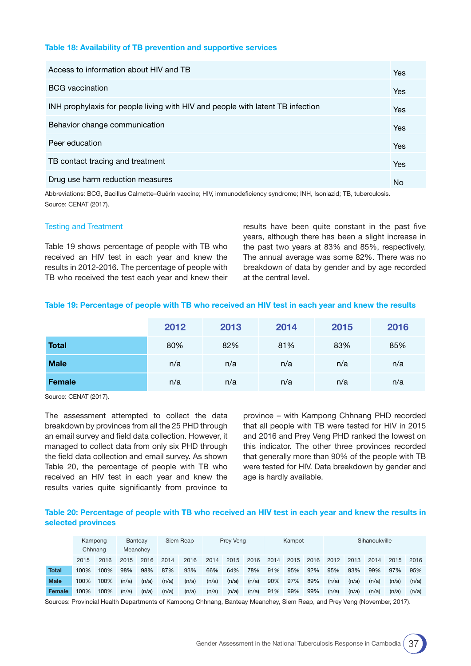#### Table 18: Availability of TB prevention and supportive services

| Access to information about HIV and TB                                         | Yes |
|--------------------------------------------------------------------------------|-----|
| <b>BCG</b> vaccination                                                         | Yes |
| INH prophylaxis for people living with HIV and people with latent TB infection | Yes |
| Behavior change communication                                                  | Yes |
| Peer education                                                                 | Yes |
| TB contact tracing and treatment                                               | Yes |
| Drug use harm reduction measures                                               | No. |

Abbreviations: BCG, Bacillus Calmette–Guérin vaccine; HIV, immunodeficiency syndrome; INH, Isoniazid; TB, tuberculosis. Source: CENAT (2017).

#### Testing and Treatment

Table 19 shows percentage of people with TB who received an HIV test in each year and knew the results in 2012-2016. The percentage of people with TB who received the test each year and knew their

results have been quite constant in the past five years, although there has been a slight increase in the past two years at 83% and 85%, respectively. The annual average was some 82%. There was no breakdown of data by gender and by age recorded at the central level.

#### Table 19: Percentage of people with TB who received an HIV test in each year and knew the results

|              | 2012 | 2013 | 2014 | 2015 | 2016 |
|--------------|------|------|------|------|------|
| <b>Total</b> | 80%  | 82%  | 81%  | 83%  | 85%  |
| <b>Male</b>  | n/a  | n/a  | n/a  | n/a  | n/a  |
| Female       | n/a  | n/a  | n/a  | n/a  | n/a  |

Source: CENAT (2017).

The assessment attempted to collect the data breakdown by provinces from all the 25 PHD through an email survey and field data collection. However, it managed to collect data from only six PHD through the field data collection and email survey. As shown Table 20, the percentage of people with TB who received an HIV test in each year and knew the results varies quite significantly from province to

province – with Kampong Chhnang PHD recorded that all people with TB were tested for HIV in 2015 and 2016 and Prey Veng PHD ranked the lowest on this indicator. The other three provinces recorded that generally more than 90% of the people with TB were tested for HIV. Data breakdown by gender and age is hardly available.

#### Table 20: Percentage of people with TB who received an HIV test in each year and knew the results in selected provinces

|              |      | Kampong<br>Chhnang |       | <b>Banteav</b><br>Meanchey |       | Siem Reap |       | Prey Veng |       |      | Kampot |      |       |       | Sihanoukville |       |       |
|--------------|------|--------------------|-------|----------------------------|-------|-----------|-------|-----------|-------|------|--------|------|-------|-------|---------------|-------|-------|
|              | 2015 | 2016               | 2015  | 2016                       | 2014  | 2016      | 2014  | 2015      | 2016  | 2014 | 2015   | 2016 | 2012  | 2013  | 2014          | 2015  | 2016  |
| <b>Total</b> | 100% | 100%               | 98%   | 98%                        | 87%   | 93%       | 66%   | 64%       | 78%   | 91%  | 95%    | 92%  | 95%   | 93%   | 99%           | 97%   | 95%   |
| <b>Male</b>  | 100% | 100%               | (n/a) | (n/a)                      | (n/a) | (n/a)     | (n/a) | (n/a)     | (n/a) | 90%  | 97%    | 89%  | (n/a) | (n/a) | (n/a)         | (n/a) | (n/a) |
| Female       | 100% | 100%               | (n/a) | (n/a)                      | (n/a) | (n/a)     | (n/a) | (n/a)     | (n/a) | 91%  | 99%    | 99%  | (n/a) | (n/a) | (n/a)         | (n/a) | (n/a) |

Sources: Provincial Health Departments of Kampong Chhnang, Banteay Meanchey, Siem Reap, and Prey Veng (November, 2017).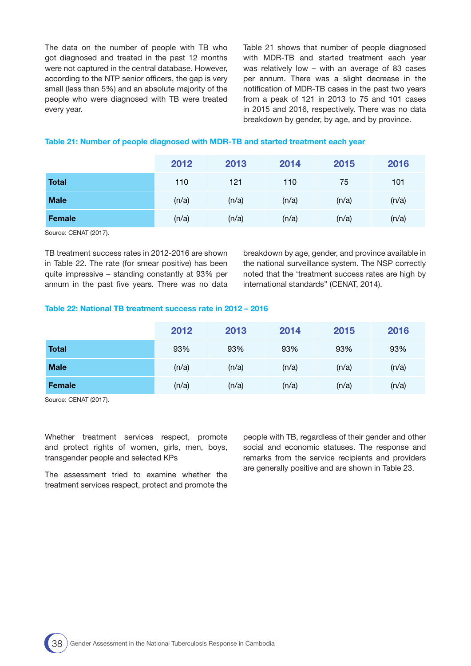The data on the number of people with TB who got diagnosed and treated in the past 12 months were not captured in the central database. However, according to the NTP senior officers, the gap is very small (less than 5%) and an absolute majority of the people who were diagnosed with TB were treated every year.

Table 21 shows that number of people diagnosed with MDR-TB and started treatment each year was relatively low – with an average of 83 cases per annum. There was a slight decrease in the notifcation of MDR-TB cases in the past two years from a peak of 121 in 2013 to 75 and 101 cases in 2015 and 2016, respectively. There was no data breakdown by gender, by age, and by province.

#### Table 21: Number of people diagnosed with MDR-TB and started treatment each year

|              | 2012  | 2013  | 2014  | 2015  | 2016  |
|--------------|-------|-------|-------|-------|-------|
| <b>Total</b> | 110   | 121   | 110   | 75    | 101   |
| <b>Male</b>  | (n/a) | (n/a) | (n/a) | (n/a) | (n/a) |
| Female       | (n/a) | (n/a) | (n/a) | (n/a) | (n/a) |

Source: CENAT (2017).

TB treatment success rates in 2012-2016 are shown in Table 22. The rate (for smear positive) has been quite impressive – standing constantly at 93% per annum in the past five years. There was no data

breakdown by age, gender, and province available in the national surveillance system. The NSP correctly noted that the 'treatment success rates are high by international standards" (CENAT, 2014).

#### Table 22: National TB treatment success rate in 2012 – 2016

|              | 2012  | 2013  | 2014  | 2015  | 2016  |
|--------------|-------|-------|-------|-------|-------|
| <b>Total</b> | 93%   | 93%   | 93%   | 93%   | 93%   |
| <b>Male</b>  | (n/a) | (n/a) | (n/a) | (n/a) | (n/a) |
| Female       | (n/a) | (n/a) | (n/a) | (n/a) | (n/a) |

Source: CENAT (2017).

Whether treatment services respect, promote and protect rights of women, girls, men, boys, transgender people and selected KPs

The assessment tried to examine whether the treatment services respect, protect and promote the people with TB, regardless of their gender and other social and economic statuses. The response and remarks from the service recipients and providers are generally positive and are shown in Table 23.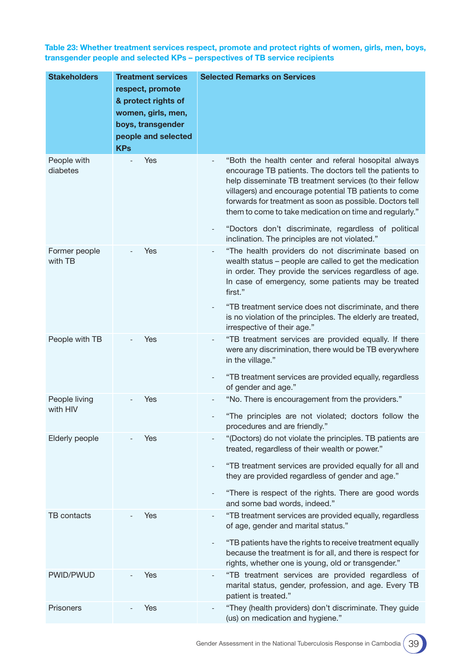Table 23: Whether treatment services respect, promote and protect rights of women, girls, men, boys, transgender people and selected KPs – perspectives of TB service recipients

| <b>Stakeholders</b>       | <b>Treatment services</b><br>respect, promote<br>& protect rights of<br>women, girls, men,<br>boys, transgender<br>people and selected<br><b>KPs</b> | <b>Selected Remarks on Services</b>                                                                                                                                                                                                                                                                                                                                                                                                                                   |
|---------------------------|------------------------------------------------------------------------------------------------------------------------------------------------------|-----------------------------------------------------------------------------------------------------------------------------------------------------------------------------------------------------------------------------------------------------------------------------------------------------------------------------------------------------------------------------------------------------------------------------------------------------------------------|
| People with<br>diabetes   | Yes                                                                                                                                                  | "Both the health center and referal hosopital always<br>encourage TB patients. The doctors tell the patients to<br>help disseminate TB treatment services (to their fellow<br>villagers) and encourage potential TB patients to come<br>forwards for treatment as soon as possible. Doctors tell<br>them to come to take medication on time and regularly."<br>"Doctors don't discriminate, regardless of political<br>inclination. The principles are not violated." |
| Former people<br>with TB  | Yes                                                                                                                                                  | "The health providers do not discriminate based on<br>wealth status - people are called to get the medication<br>in order. They provide the services regardless of age.<br>In case of emergency, some patients may be treated<br>first."<br>"TB treatment service does not discriminate, and there<br>is no violation of the principles. The elderly are treated,                                                                                                     |
| People with TB            | Yes                                                                                                                                                  | irrespective of their age."<br>"TB treatment services are provided equally. If there<br>were any discrimination, there would be TB everywhere<br>in the village."<br>"TB treatment services are provided equally, regardless<br>of gender and age."                                                                                                                                                                                                                   |
| People living<br>with HIV | Yes                                                                                                                                                  | "No. There is encouragement from the providers."<br>"The principles are not violated; doctors follow the<br>procedures and are friendly."                                                                                                                                                                                                                                                                                                                             |
| Elderly people            | Yes                                                                                                                                                  | "(Doctors) do not violate the principles. TB patients are<br>treated, regardless of their wealth or power."<br>"TB treatment services are provided equally for all and<br>they are provided regardless of gender and age."<br>"There is respect of the rights. There are good words<br>and some bad words, indeed."                                                                                                                                                   |
| TB contacts               | Yes                                                                                                                                                  | "TB treatment services are provided equally, regardless<br>of age, gender and marital status."<br>"TB patients have the rights to receive treatment equally<br>because the treatment is for all, and there is respect for<br>rights, whether one is young, old or transgender."                                                                                                                                                                                       |
| PWID/PWUD                 | Yes                                                                                                                                                  | "TB treatment services are provided regardless of<br>marital status, gender, profession, and age. Every TB<br>patient is treated."                                                                                                                                                                                                                                                                                                                                    |
| Prisoners                 | Yes                                                                                                                                                  | "They (health providers) don't discriminate. They guide<br>(us) on medication and hygiene."                                                                                                                                                                                                                                                                                                                                                                           |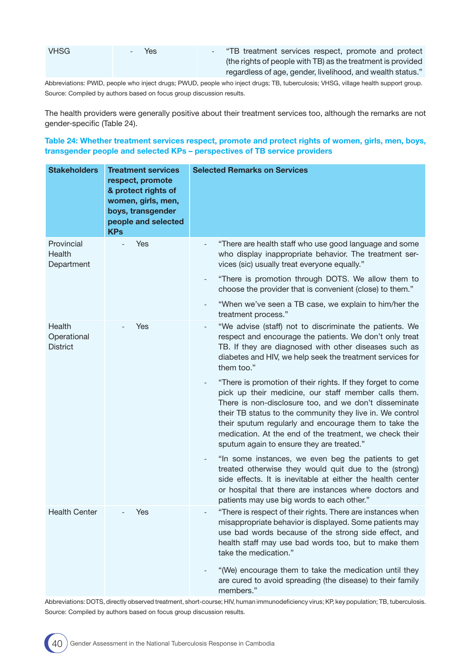| <b>VHSG</b> | <b>Yes</b> | - "TB treatment services respect, promote and protect       |
|-------------|------------|-------------------------------------------------------------|
|             |            | (the rights of people with TB) as the treatment is provided |
|             |            | regardless of age, gender, livelihood, and wealth status."  |

Abbreviations: PWID, people who inject drugs; PWUD, people who inject drugs; TB, tuberculosis; VHSG, village health support group. Source: Compiled by authors based on focus group discussion results.

The health providers were generally positive about their treatment services too, although the remarks are not gender-specific (Table 24).

Table 24: Whether treatment services respect, promote and protect rights of women, girls, men, boys, transgender people and selected KPs – perspectives of TB service providers

| <b>Stakeholders</b>                      | <b>Treatment services</b><br>respect, promote<br>& protect rights of<br>women, girls, men,<br>boys, transgender<br>people and selected<br><b>KPs</b> | <b>Selected Remarks on Services</b>                                                                                                                                                                                                                                                                                                                                                                        |
|------------------------------------------|------------------------------------------------------------------------------------------------------------------------------------------------------|------------------------------------------------------------------------------------------------------------------------------------------------------------------------------------------------------------------------------------------------------------------------------------------------------------------------------------------------------------------------------------------------------------|
| Provincial<br>Health<br>Department       | Yes                                                                                                                                                  | "There are health staff who use good language and some<br>who display inappropriate behavior. The treatment ser-<br>vices (sic) usually treat everyone equally."                                                                                                                                                                                                                                           |
|                                          |                                                                                                                                                      | "There is promotion through DOTS. We allow them to<br>choose the provider that is convenient (close) to them."                                                                                                                                                                                                                                                                                             |
|                                          |                                                                                                                                                      | "When we've seen a TB case, we explain to him/her the<br>treatment process."                                                                                                                                                                                                                                                                                                                               |
| Health<br>Operational<br><b>District</b> | Yes                                                                                                                                                  | "We advise (staff) not to discriminate the patients. We<br>respect and encourage the patients. We don't only treat<br>TB. If they are diagnosed with other diseases such as<br>diabetes and HIV, we help seek the treatment services for<br>them too."                                                                                                                                                     |
|                                          |                                                                                                                                                      | "There is promotion of their rights. If they forget to come<br>pick up their medicine, our staff member calls them.<br>There is non-disclosure too, and we don't disseminate<br>their TB status to the community they live in. We control<br>their sputum regularly and encourage them to take the<br>medication. At the end of the treatment, we check their<br>sputum again to ensure they are treated." |
|                                          |                                                                                                                                                      | "In some instances, we even beg the patients to get<br>treated otherwise they would quit due to the (strong)<br>side effects. It is inevitable at either the health center<br>or hospital that there are instances where doctors and<br>patients may use big words to each other."                                                                                                                         |
| <b>Health Center</b>                     | Yes                                                                                                                                                  | "There is respect of their rights. There are instances when<br>misappropriate behavior is displayed. Some patients may<br>use bad words because of the strong side effect, and<br>health staff may use bad words too, but to make them<br>take the medication."                                                                                                                                            |
|                                          |                                                                                                                                                      | "(We) encourage them to take the medication until they<br>are cured to avoid spreading (the disease) to their family<br>members."                                                                                                                                                                                                                                                                          |

Abbreviations: DOTS, directly observed treatment, short-course; HIV, human immunodeficiency virus; KP, key population; TB, tuberculosis. Source: Compiled by authors based on focus group discussion results.

 $40\,$  ) Gender Assessment in the National Tuberculosis Response in Cambodia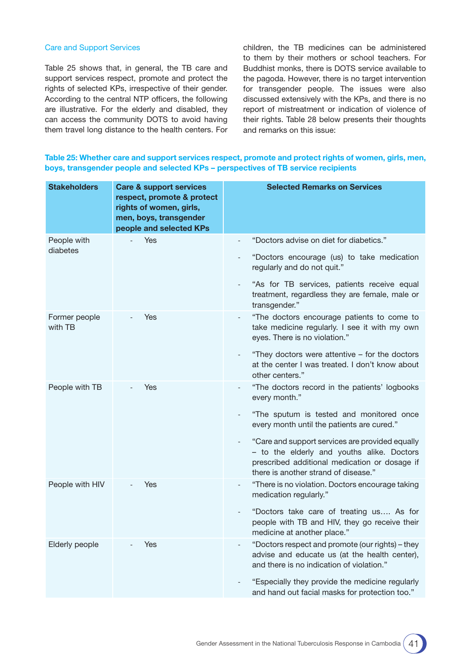#### Care and Support Services

Table 25 shows that, in general, the TB care and support services respect, promote and protect the rights of selected KPs, irrespective of their gender. According to the central NTP officers, the following are illustrative. For the elderly and disabled, they can access the community DOTS to avoid having them travel long distance to the health centers. For children, the TB medicines can be administered to them by their mothers or school teachers. For Buddhist monks, there is DOTS service available to the pagoda. However, there is no target intervention for transgender people. The issues were also discussed extensively with the KPs, and there is no report of mistreatment or indication of violence of their rights. Table 28 below presents their thoughts and remarks on this issue:

Table 25: Whether care and support services respect, promote and protect rights of women, girls, men, boys, transgender people and selected KPs – perspectives of TB service recipients

| <b>Stakeholders</b>      | <b>Care &amp; support services</b><br>respect, promote & protect<br>rights of women, girls,<br>men, boys, transgender<br>people and selected KPs | <b>Selected Remarks on Services</b>                                                                                                                                                    |
|--------------------------|--------------------------------------------------------------------------------------------------------------------------------------------------|----------------------------------------------------------------------------------------------------------------------------------------------------------------------------------------|
| People with<br>diabetes  | Yes                                                                                                                                              | "Doctors advise on diet for diabetics."<br>$\overline{\phantom{0}}$                                                                                                                    |
|                          |                                                                                                                                                  | "Doctors encourage (us) to take medication<br>regularly and do not quit."                                                                                                              |
|                          |                                                                                                                                                  | "As for TB services, patients receive equal<br>$\overline{\phantom{a}}$<br>treatment, regardless they are female, male or<br>transgender."                                             |
| Former people<br>with TB | Yes                                                                                                                                              | "The doctors encourage patients to come to<br>take medicine regularly. I see it with my own<br>eyes. There is no violation."                                                           |
|                          |                                                                                                                                                  | "They doctors were attentive – for the doctors"<br>at the center I was treated. I don't know about<br>other centers."                                                                  |
| People with TB           | Yes                                                                                                                                              | "The doctors record in the patients' logbooks<br>$\overline{\phantom{0}}$<br>every month."                                                                                             |
|                          |                                                                                                                                                  | "The sputum is tested and monitored once<br>every month until the patients are cured."                                                                                                 |
|                          |                                                                                                                                                  | "Care and support services are provided equally<br>- to the elderly and youths alike. Doctors<br>prescribed additional medication or dosage if<br>there is another strand of disease." |
| People with HIV          | Yes                                                                                                                                              | "There is no violation. Doctors encourage taking<br>medication regularly."                                                                                                             |
|                          |                                                                                                                                                  | "Doctors take care of treating us As for<br>people with TB and HIV, they go receive their<br>medicine at another place."                                                               |
| Elderly people           | Yes                                                                                                                                              | "Doctors respect and promote (our rights) – they<br>advise and educate us (at the health center),<br>and there is no indication of violation."                                         |
|                          |                                                                                                                                                  | "Especially they provide the medicine regularly<br>and hand out facial masks for protection too."                                                                                      |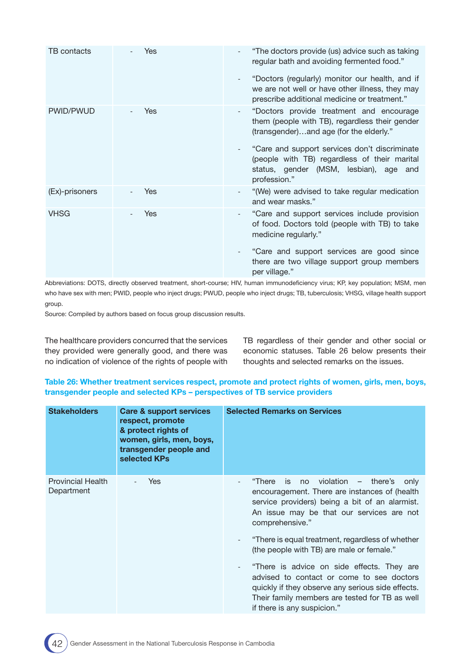| TB contacts    | <b>Yes</b> | "The doctors provide (us) advice such as taking<br>$\overline{\phantom{0}}$<br>regular bath and avoiding fermented food."<br>"Doctors (regularly) monitor our health, and if<br>$\overline{\phantom{0}}$ |
|----------------|------------|----------------------------------------------------------------------------------------------------------------------------------------------------------------------------------------------------------|
|                |            | we are not well or have other illness, they may<br>prescribe additional medicine or treatment."                                                                                                          |
| PWID/PWUD      | <b>Yes</b> | "Doctors provide treatment and encourage<br>$\overline{\phantom{0}}$<br>them (people with TB), regardless their gender<br>(transgender)and age (for the elderly."                                        |
|                |            | "Care and support services don't discriminate<br>(people with TB) regardless of their marital<br>status, gender (MSM, lesbian), age and<br>profession."                                                  |
| (Ex)-prisoners | <b>Yes</b> | "(We) were advised to take regular medication<br>and wear masks."                                                                                                                                        |
| <b>VHSG</b>    | Yes        | "Care and support services include provision<br>$\overline{\phantom{0}}$<br>of food. Doctors told (people with TB) to take<br>medicine regularly."                                                       |
|                |            | "Care and support services are good since<br>$\overline{\phantom{0}}$<br>there are two village support group members<br>per village."                                                                    |

Abbreviations: DOTS, directly observed treatment, short-course; HIV, human immunodeficiency virus; KP, key population; MSM, men who have sex with men; PWID, people who inject drugs; PWUD, people who inject drugs; TB, tuberculosis; VHSG, village health support group.

Source: Compiled by authors based on focus group discussion results.

The healthcare providers concurred that the services they provided were generally good, and there was no indication of violence of the rights of people with TB regardless of their gender and other social or economic statuses. Table 26 below presents their thoughts and selected remarks on the issues.

Table 26: Whether treatment services respect, promote and protect rights of women, girls, men, boys, transgender people and selected KPs – perspectives of TB service providers

| <b>Stakeholders</b>                    | <b>Care &amp; support services</b><br>respect, promote<br>& protect rights of<br>women, girls, men, boys,<br>transgender people and<br>selected KPs | <b>Selected Remarks on Services</b>                                                                                                                                                                                                            |
|----------------------------------------|-----------------------------------------------------------------------------------------------------------------------------------------------------|------------------------------------------------------------------------------------------------------------------------------------------------------------------------------------------------------------------------------------------------|
| <b>Provincial Health</b><br>Department | <b>Yes</b>                                                                                                                                          | no violation - there's<br>is<br>"There"<br>only<br>$\overline{\phantom{0}}$<br>encouragement. There are instances of (health<br>service providers) being a bit of an alarmist.<br>An issue may be that our services are not<br>comprehensive." |
|                                        |                                                                                                                                                     | "There is equal treatment, regardless of whether<br>(the people with TB) are male or female."                                                                                                                                                  |
|                                        |                                                                                                                                                     | "There is advice on side effects. They are<br>advised to contact or come to see doctors<br>quickly if they observe any serious side effects.<br>Their family members are tested for TB as well<br>if there is any suspicion."                  |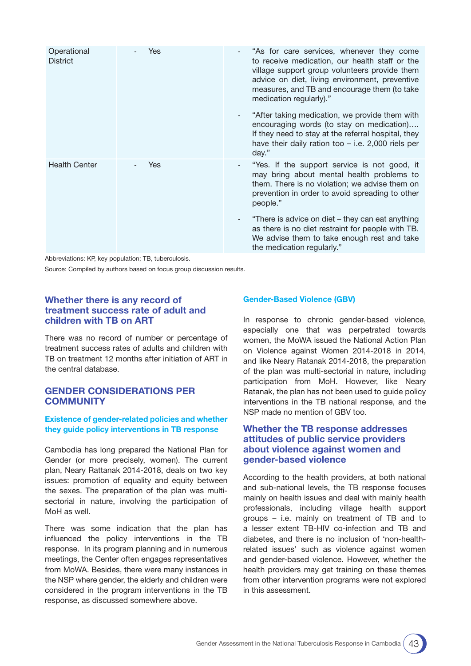| Operational<br><b>District</b> | <b>Yes</b> | "As for care services, whenever they come<br>$\overline{\phantom{0}}$<br>to receive medication, our health staff or the<br>village support group volunteers provide them<br>advice on diet, living environment, preventive<br>measures, and TB and encourage them (to take<br>medication regularly)."<br>"After taking medication, we provide them with<br>$\overline{\phantom{0}}$<br>encouraging words (to stay on medication)<br>If they need to stay at the referral hospital, they<br>have their daily ration too $-$ i.e. 2,000 riels per<br>day." |
|--------------------------------|------------|----------------------------------------------------------------------------------------------------------------------------------------------------------------------------------------------------------------------------------------------------------------------------------------------------------------------------------------------------------------------------------------------------------------------------------------------------------------------------------------------------------------------------------------------------------|
| <b>Health Center</b>           | Yes        | "Yes. If the support service is not good, it<br>may bring about mental health problems to<br>them. There is no violation; we advise them on<br>prevention in order to avoid spreading to other<br>people."                                                                                                                                                                                                                                                                                                                                               |
|                                |            | "There is advice on diet – they can eat anything<br>$\overline{\phantom{0}}$<br>as there is no diet restraint for people with TB.<br>We advise them to take enough rest and take<br>the medication regularly."                                                                                                                                                                                                                                                                                                                                           |

Abbreviations: KP, key population; TB, tuberculosis.

Source: Compiled by authors based on focus group discussion results.

## Whether there is any record of treatment success rate of adult and children with TB on ART

There was no record of number or percentage of treatment success rates of adults and children with TB on treatment 12 months after initiation of ART in the central database.

## GENDER CONSIDERATIONS PER **COMMUNITY**

### Existence of gender-related policies and whether they guide policy interventions in TB response

Cambodia has long prepared the National Plan for Gender (or more precisely, women). The current plan, Neary Rattanak 2014-2018, deals on two key issues: promotion of equality and equity between the sexes. The preparation of the plan was multisectorial in nature, involving the participation of MoH as well

There was some indication that the plan has infuenced the policy interventions in the TB response. In its program planning and in numerous meetings, the Center often engages representatives from MoWA. Besides, there were many instances in the NSP where gender, the elderly and children were considered in the program interventions in the TB response, as discussed somewhere above.

#### Gender-Based Violence (GBV)

In response to chronic gender-based violence, especially one that was perpetrated towards women, the MoWA issued the National Action Plan on Violence against Women 2014-2018 in 2014, and like Neary Ratanak 2014-2018, the preparation of the plan was multi-sectorial in nature, including participation from MoH. However, like Neary Ratanak, the plan has not been used to guide policy interventions in the TB national response, and the NSP made no mention of GBV too.

## Whether the TB response addresses attitudes of public service providers about violence against women and gender-based violence

According to the health providers, at both national and sub-national levels, the TB response focuses mainly on health issues and deal with mainly health professionals, including village health support groups – i.e. mainly on treatment of TB and to a lesser extent TB-HIV co-infection and TB and diabetes, and there is no inclusion of 'non-healthrelated issues' such as violence against women and gender-based violence. However, whether the health providers may get training on these themes from other intervention programs were not explored in this assessment.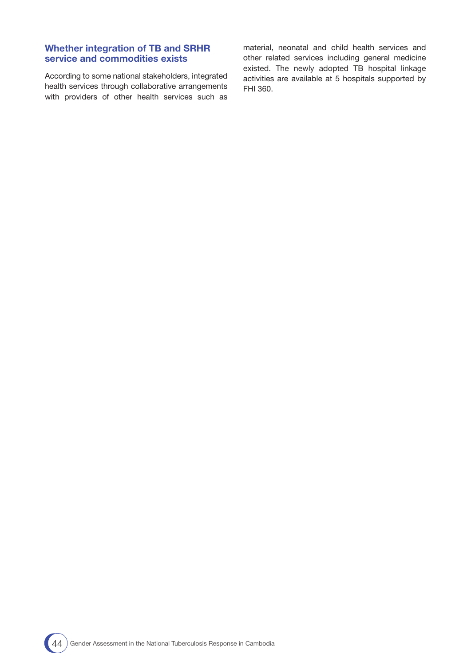## Whether integration of TB and SRHR service and commodities exists

According to some national stakeholders, integrated health services through collaborative arrangements with providers of other health services such as material, neonatal and child health services and other related services including general medicine existed. The newly adopted TB hospital linkage activities are available at 5 hospitals supported by FHI 360.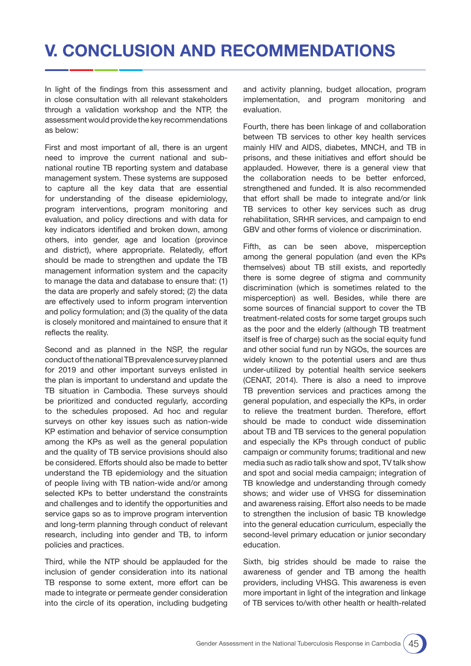## V. CONCLUSION AND RECOMMENDATIONS

In light of the findings from this assessment and in close consultation with all relevant stakeholders through a validation workshop and the NTP, the assessment would provide the key recommendations as below:

First and most important of all, there is an urgent need to improve the current national and subnational routine TB reporting system and database management system. These systems are supposed to capture all the key data that are essential for understanding of the disease epidemiology, program interventions, program monitoring and evaluation, and policy directions and with data for key indicators identifed and broken down, among others, into gender, age and location (province and district), where appropriate. Relatedly, effort should be made to strengthen and update the TB management information system and the capacity to manage the data and database to ensure that: (1) the data are properly and safely stored; (2) the data are effectively used to inform program intervention and policy formulation; and (3) the quality of the data is closely monitored and maintained to ensure that it reflects the reality.

Second and as planned in the NSP, the regular conduct of the national TB prevalence survey planned for 2019 and other important surveys enlisted in the plan is important to understand and update the TB situation in Cambodia. These surveys should be prioritized and conducted regularly, according to the schedules proposed. Ad hoc and regular surveys on other key issues such as nation-wide KP estimation and behavior of service consumption among the KPs as well as the general population and the quality of TB service provisions should also be considered. Efforts should also be made to better understand the TB epidemiology and the situation of people living with TB nation-wide and/or among selected KPs to better understand the constraints and challenges and to identify the opportunities and service gaps so as to improve program intervention and long-term planning through conduct of relevant research, including into gender and TB, to inform policies and practices.

Third, while the NTP should be applauded for the inclusion of gender consideration into its national TB response to some extent, more effort can be made to integrate or permeate gender consideration into the circle of its operation, including budgeting

and activity planning, budget allocation, program implementation, and program monitoring and evaluation.

Fourth, there has been linkage of and collaboration between TB services to other key health services mainly HIV and AIDS, diabetes, MNCH, and TB in prisons, and these initiatives and effort should be applauded. However, there is a general view that the collaboration needs to be better enforced, strengthened and funded. It is also recommended that effort shall be made to integrate and/or link TB services to other key services such as drug rehabilitation, SRHR services, and campaign to end GBV and other forms of violence or discrimination.

Fifth, as can be seen above, misperception among the general population (and even the KPs themselves) about TB still exists, and reportedly there is some degree of stigma and community discrimination (which is sometimes related to the misperception) as well. Besides, while there are some sources of financial support to cover the TB treatment-related costs for some target groups such as the poor and the elderly (although TB treatment itself is free of charge) such as the social equity fund and other social fund run by NGOs, the sources are widely known to the potential users and are thus under-utilized by potential health service seekers (CENAT, 2014). There is also a need to improve TB prevention services and practices among the general population, and especially the KPs, in order to relieve the treatment burden. Therefore, effort should be made to conduct wide dissemination about TB and TB services to the general population and especially the KPs through conduct of public campaign or community forums; traditional and new media such as radio talk show and spot, TV talk show and spot and social media campaign; integration of TB knowledge and understanding through comedy shows; and wider use of VHSG for dissemination and awareness raising. Effort also needs to be made to strengthen the inclusion of basic TB knowledge into the general education curriculum, especially the second-level primary education or junior secondary education.

Sixth, big strides should be made to raise the awareness of gender and TB among the health providers, including VHSG. This awareness is even more important in light of the integration and linkage of TB services to/with other health or health-related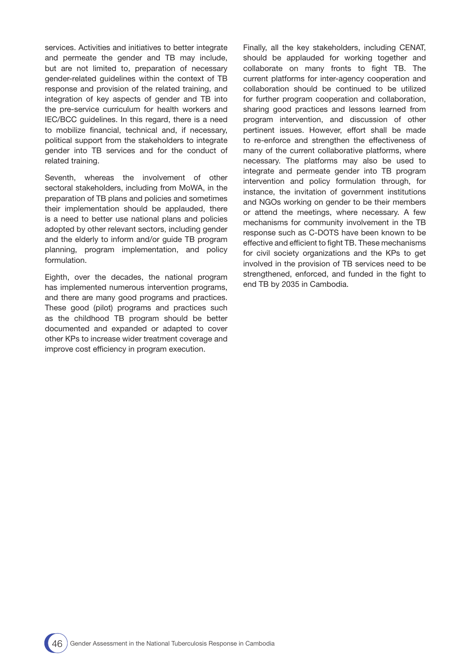services. Activities and initiatives to better integrate and permeate the gender and TB may include, but are not limited to, preparation of necessary gender-related guidelines within the context of TB response and provision of the related training, and integration of key aspects of gender and TB into the pre-service curriculum for health workers and IEC/BCC guidelines. In this regard, there is a need to mobilize fnancial, technical and, if necessary, political support from the stakeholders to integrate gender into TB services and for the conduct of related training.

Seventh, whereas the involvement of other sectoral stakeholders, including from MoWA, in the preparation of TB plans and policies and sometimes their implementation should be applauded, there is a need to better use national plans and policies adopted by other relevant sectors, including gender and the elderly to inform and/or guide TB program planning, program implementation, and policy formulation.

Eighth, over the decades, the national program has implemented numerous intervention programs, and there are many good programs and practices. These good (pilot) programs and practices such as the childhood TB program should be better documented and expanded or adapted to cover other KPs to increase wider treatment coverage and improve cost efficiency in program execution.

Finally, all the key stakeholders, including CENAT, should be applauded for working together and collaborate on many fronts to fight TB. The current platforms for inter-agency cooperation and collaboration should be continued to be utilized for further program cooperation and collaboration, sharing good practices and lessons learned from program intervention, and discussion of other pertinent issues. However, effort shall be made to re-enforce and strengthen the effectiveness of many of the current collaborative platforms, where necessary. The platforms may also be used to integrate and permeate gender into TB program intervention and policy formulation through, for instance, the invitation of government institutions and NGOs working on gender to be their members or attend the meetings, where necessary. A few mechanisms for community involvement in the TB response such as C-DOTS have been known to be effective and efficient to fight TB. These mechanisms for civil society organizations and the KPs to get involved in the provision of TB services need to be strengthened, enforced, and funded in the fight to end TB by 2035 in Cambodia.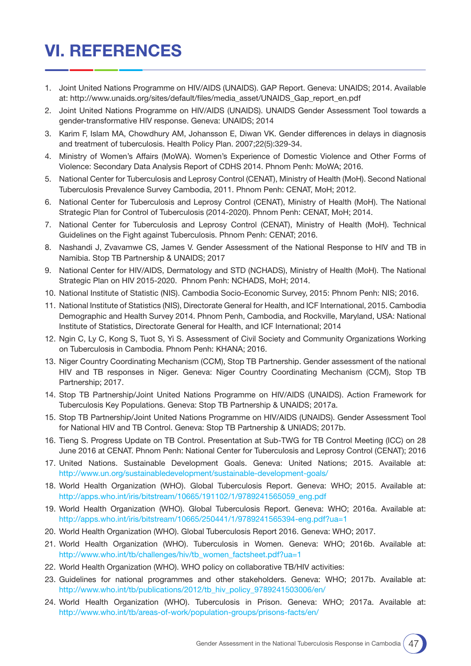## VI. REFERENCES

- 1. Joint United Nations Programme on HIV/AIDS (UNAIDS). GAP Report. Geneva: UNAIDS; 2014. Available at: http://www.unaids.org/sites/default/fles/media\_asset/UNAIDS\_Gap\_report\_en.pdf
- 2. Joint United Nations Programme on HIV/AIDS (UNAIDS). UNAIDS Gender Assessment Tool towards a gender-transformative HIV response. Geneva: UNAIDS; 2014
- 3. Karim F, Islam MA, Chowdhury AM, Johansson E, Diwan VK. Gender differences in delays in diagnosis and treatment of tuberculosis. Health Policy Plan. 2007;22(5):329-34.
- 4. Ministry of Women's Affairs (MoWA). Women's Experience of Domestic Violence and Other Forms of Violence: Secondary Data Analysis Report of CDHS 2014. Phnom Penh: MoWA; 2016.
- 5. National Center for Tuberculosis and Leprosy Control (CENAT), Ministry of Health (MoH). Second National Tuberculosis Prevalence Survey Cambodia, 2011. Phnom Penh: CENAT, MoH; 2012.
- 6. National Center for Tuberculosis and Leprosy Control (CENAT), Ministry of Health (MoH). The National Strategic Plan for Control of Tuberculosis (2014-2020). Phnom Penh: CENAT, MoH; 2014.
- 7. National Center for Tuberculosis and Leprosy Control (CENAT), Ministry of Health (MoH). Technical Guidelines on the Fight against Tuberculosis. Phnom Penh: CENAT; 2016.
- 8. Nashandi J, Zvavamwe CS, James V. Gender Assessment of the National Response to HIV and TB in Namibia. Stop TB Partnership & UNAIDS; 2017
- 9. National Center for HIV/AIDS, Dermatology and STD (NCHADS), Ministry of Health (MoH). The National Strategic Plan on HIV 2015-2020. Phnom Penh: NCHADS, MoH; 2014.
- 10. National Institute of Statistic (NIS). Cambodia Socio-Economic Survey, 2015: Phnom Penh: NIS; 2016.
- 11. National Institute of Statistics (NIS), Directorate General for Health, and ICF International, 2015. Cambodia Demographic and Health Survey 2014. Phnom Penh, Cambodia, and Rockville, Maryland, USA: National Institute of Statistics, Directorate General for Health, and ICF International; 2014
- 12. Ngin C, Ly C, Kong S, Tuot S, Yi S. Assessment of Civil Society and Community Organizations Working on Tuberculosis in Cambodia. Phnom Penh: KHANA; 2016.
- 13. Niger Country Coordinating Mechanism (CCM), Stop TB Partnership. Gender assessment of the national HIV and TB responses in Niger. Geneva: Niger Country Coordinating Mechanism (CCM), Stop TB Partnership; 2017.
- 14. Stop TB Partnership/Joint United Nations Programme on HIV/AIDS (UNAIDS). Action Framework for Tuberculosis Key Populations. Geneva: Stop TB Partnership & UNAIDS; 2017a.
- 15. Stop TB Partnership/Joint United Nations Programme on HIV/AIDS (UNAIDS). Gender Assessment Tool for National HIV and TB Control. Geneva: Stop TB Partnership & UNIADS; 2017b.
- 16. Tieng S. Progress Update on TB Control. Presentation at Sub-TWG for TB Control Meeting (ICC) on 28 June 2016 at CENAT. Phnom Penh: National Center for Tuberculosis and Leprosy Control (CENAT); 2016
- 17. United Nations. Sustainable Development Goals. Geneva: United Nations; 2015. Available at: http://www.un.org/sustainabledevelopment/sustainable-development-goals/
- 18. World Health Organization (WHO). Global Tuberculosis Report. Geneva: WHO; 2015. Available at: http://apps.who.int/iris/bitstream/10665/191102/1/9789241565059\_eng.pdf
- 19. World Health Organization (WHO). Global Tuberculosis Report. Geneva: WHO; 2016a. Available at: http://apps.who.int/iris/bitstream/10665/250441/1/9789241565394-eng.pdf?ua=1
- 20. World Health Organization (WHO). Global Tuberculosis Report 2016. Geneva: WHO; 2017.
- 21. World Health Organization (WHO). Tuberculosis in Women. Geneva: WHO; 2016b. Available at: http://www.who.int/tb/challenges/hiv/tb\_women\_factsheet.pdf?ua=1
- 22. World Health Organization (WHO). WHO policy on collaborative TB/HIV activities:
- 23. Guidelines for national programmes and other stakeholders. Geneva: WHO; 2017b. Available at: http://www.who.int/tb/publications/2012/tb\_hiv\_policy\_9789241503006/en/
- 24. World Health Organization (WHO). Tuberculosis in Prison. Geneva: WHO; 2017a. Available at: http://www.who.int/tb/areas-of-work/population-groups/prisons-facts/en/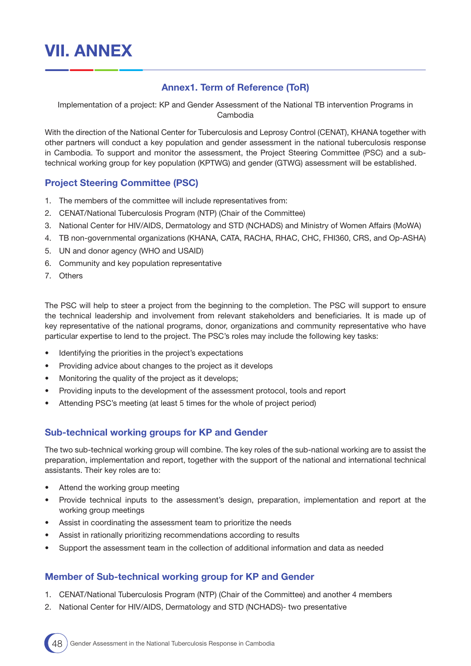## Annex1. Term of Reference (ToR)

Implementation of a project: KP and Gender Assessment of the National TB intervention Programs in Cambodia

With the direction of the National Center for Tuberculosis and Leprosy Control (CENAT), KHANA together with other partners will conduct a key population and gender assessment in the national tuberculosis response in Cambodia. To support and monitor the assessment, the Project Steering Committee (PSC) and a subtechnical working group for key population (KPTWG) and gender (GTWG) assessment will be established.

## Project Steering Committee (PSC)

- 1. The members of the committee will include representatives from:
- 2. CENAT/National Tuberculosis Program (NTP) (Chair of the Committee)
- 3. National Center for HIV/AIDS, Dermatology and STD (NCHADS) and Ministry of Women Affairs (MoWA)
- 4. TB non-governmental organizations (KHANA, CATA, RACHA, RHAC, CHC, FHI360, CRS, and Op-ASHA)
- 5. UN and donor agency (WHO and USAID)
- 6. Community and key population representative
- 7. Others

The PSC will help to steer a project from the beginning to the completion. The PSC will support to ensure the technical leadership and involvement from relevant stakeholders and beneficiaries. It is made up of key representative of the national programs, donor, organizations and community representative who have particular expertise to lend to the project. The PSC's roles may include the following key tasks:

- Identifying the priorities in the project's expectations
- Providing advice about changes to the project as it develops
- Monitoring the quality of the project as it develops;
- Providing inputs to the development of the assessment protocol, tools and report
- Attending PSC's meeting (at least 5 times for the whole of project period)

## Sub-technical working groups for KP and Gender

The two sub-technical working group will combine. The key roles of the sub-national working are to assist the preparation, implementation and report, together with the support of the national and international technical assistants. Their key roles are to:

- Attend the working group meeting
- Provide technical inputs to the assessment's design, preparation, implementation and report at the working group meetings
- Assist in coordinating the assessment team to prioritize the needs
- Assist in rationally prioritizing recommendations according to results
- Support the assessment team in the collection of additional information and data as needed

## Member of Sub-technical working group for KP and Gender

- 1. CENAT/National Tuberculosis Program (NTP) (Chair of the Committee) and another 4 members
- 2. National Center for HIV/AIDS, Dermatology and STD (NCHADS)- two presentative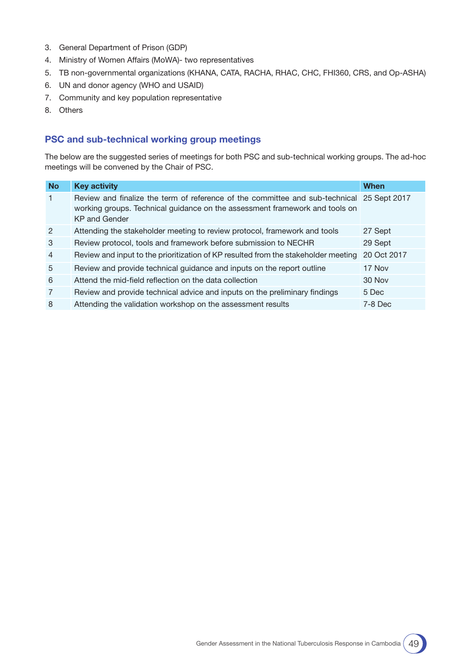- 3. General Department of Prison (GDP)
- 4. Ministry of Women Affairs (MoWA)- two representatives
- 5. TB non-governmental organizations (KHANA, CATA, RACHA, RHAC, CHC, FHI360, CRS, and Op-ASHA)
- 6. UN and donor agency (WHO and USAID)
- 7. Community and key population representative
- 8. Others

## PSC and sub-technical working group meetings

The below are the suggested series of meetings for both PSC and sub-technical working groups. The ad-hoc meetings will be convened by the Chair of PSC.

| <b>No</b>      | <b>Key activity</b>                                                                                                                                                                              | <b>When</b> |
|----------------|--------------------------------------------------------------------------------------------------------------------------------------------------------------------------------------------------|-------------|
|                | Review and finalize the term of reference of the committee and sub-technical 25 Sept 2017<br>working groups. Technical guidance on the assessment framework and tools on<br><b>KP</b> and Gender |             |
| 2              | Attending the stakeholder meeting to review protocol, framework and tools                                                                                                                        | 27 Sept     |
| 3              | Review protocol, tools and framework before submission to NECHR                                                                                                                                  | 29 Sept     |
| $\overline{4}$ | Review and input to the prioritization of KP resulted from the stakeholder meeting                                                                                                               | 20 Oct 2017 |
| 5              | Review and provide technical guidance and inputs on the report outline                                                                                                                           | 17 Nov      |
| 6              | Attend the mid-field reflection on the data collection                                                                                                                                           | 30 Nov      |
| 7              | Review and provide technical advice and inputs on the preliminary findings                                                                                                                       | 5 Dec       |
| 8              | Attending the validation workshop on the assessment results                                                                                                                                      | $7-8$ Dec   |